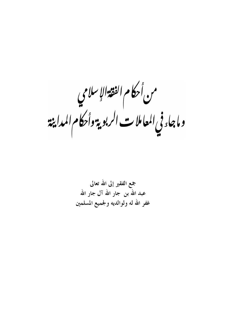من أحكام الفقةالإسلامي وماجاء في المعاملات الربوية وأحكام المداينة

جمع الفقير إلى الله تعالى عبد الله بن جار الله آل جار الله غفر الله له ولوالديه ولجميع المسلمين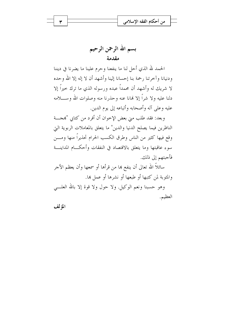بسم الله الرحمن الرحيم مقدمة

الحمد لله الذي أحل لنا ما ينفعنا وحرم علينا ما يضرنا في ديننا ودنيانا وآخرتنا رحمة بنا إحسانا إلينا وأشهد أن لا إله إلا الله وحده لا شريك له وأشهد أن محمداً عبده ورسوله الذي ما ترك حيراً إلا دلنا عليه ولا شراً إلا فمانا عنه وحذرنا منه وصلوات الله وســــلامه عليه وعلى آله وأصحابه وأتباعه إلى يوم الدين.

وبعد: فقد طلب مين بعض الإخوان أن أفرد من كتابي "بمجـــة الناظرين فيما يصلح الدنيا والدين" ما يتعلق بالمعاملات الربوية التي وقع فيها كثير من الناس وطرق الكسب الحرام تحذيراً منها ومسن سوء عاقبتها وما يتعلق بالاقتصاد في النفقات وأحكـــام المداينــــة فأجبتهم إلى ذلك.

سائلاً الله تعالى أن ينفع هما من قرأها أو سمعها وأن يعظم الأجر والمثوبة لمن كتبها أو طبعها أو نشرها أو عمل ها.

وهو حسبنا ونعم الوكيل. ولا حول ولا قوة إلا بالله العلـــي العظيم.

المؤلف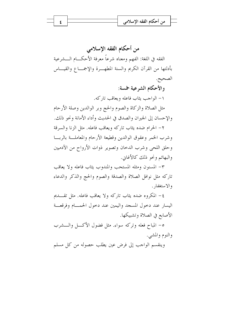

الفقه في اللغة: الفهم ومعناه شرعاً معرفة الأحكـــام الــــشرعية بأدلتها من القرآن الكريم والسنة المطهــرة والإجمـــاع والقيـــاس الصحيح.

> والأحكام الشرعية خمسة: ١ – الواحب يثاب فاعله ويعاقب تاركه.

مثل الصلاة والزكاة والصوم والحج وبر الوالدين وصلة الأرحام والإحسان إلى الجيران والصدق في الحديث وأداء الأمانة ونحو ذلك.

٢ – الحرام ضده يثاب تاركه ويعاقب فاعله. مثل الزنا والسرقة وشرب الخمر وعقوق الوالدين وقطيعة الأرحام والمعاملة بالربسا وحلق اللحي وشرب الدحان وتصوير ذوات الأرواح من الآدميين والبهائم ونحو ذلك كالأغابي.

٣- المسنون ومثله المستحب والمندوب يثاب فاعله ولا يعاقب تاركه مثل نوافل الصلاة والصدقة والصوم والحج والذكر والدعاء والاستغفار .

٤– المكروه ضده يثاب تاركه ولا يعاقب فاعله. مثل تقـــديم اليسار عند دحول المسجد واليمين عند دحول الحمسام وفرقعسة الأصابع في الصلاة وتشبيكها.

٥- المباح فعله وتركه سواءٍ. مثل فضول الأكـــل والــــشرب والنوم والمشي.

وينقسم الواجب إلى فرض عين يطلب حصوله من كل مسلم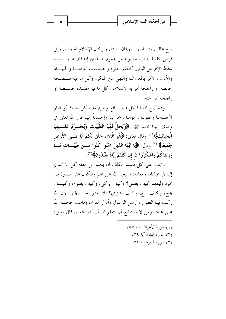بالغ عاقل. مثل أصول الإيمان الستة، وأركان الإسلام الخمسة. وإلى فرض كفاية يطلب حصوله من عموم المسلمين إذا قام به بعــضهم سقط الإثم عن الباقين كتعلم العلوم والصناعات النافعــة والجهــاد والأذان والأمر بالمعروف والنهى عن المنكر، وكل ما فيه مـــصلحة خالصة أو راجحة أمر به الإسلام، وكل ما فيه مفسدة خالـــصة أو راجحة فم عنه.

وقد أباح الله لنا كل طيب نافع وحرم علينا كل حبيث أو ضار لأجسامنا وعقولنا وأموالنا رحمة بنا وإحساناً إلينا قال الله تعالى في وصف نبينا محمد ﷺ : ﴿وَيُحِلُّ لَهُمُ الطَّيِّبَاتِ وَيُحَــوِّمُ عَلَـــيْهِمُ الْخَبَائِثَ﴾ '' وقال تعالى: ﴿هُُوَ الَّذِي خَلَقَ لَكُم مَّا فـــى الأَرْضَ جَميعًا﴾ `` وقال: ﴿إِيَا أَيُّهَا الَّذِينَ آمَنُوا كُلُوا مـــن طَيِّبَـــات مَـــاً رَزَقْنَاكُمْ وَاشْكُرُوا لله إن كُنْتُمْ إِيَّاهُ تَعْبُدُونَ﴾( ٚ ْ ْ

ويجب على كل مسلم مكلف أن يتعلم من الفقه كل ما يحتاج إليه في عباداته ومعاملاته ليعبد الله عن علم وليكون على بصيرة من أمره وليفهم كيف يصلى؟ وكيف يزكي، وكيف يصوم، وكيــف يحج، وكيف يبيع، وكيف يشتري؟ فلا يعذر أحد بالجهل لأن الله ركب فينا العقول وأرسل الرسول وأنزل القرآن وقامت حجسة الله على عباده ومن لا يستطيع أن يتعلم ليسأل أهل العلم. قال تعالى:

- (١) سورة الأعراف آية ١٥٧. (٢) سورة البقرة آية ٢٩.
	- (٣) سورة البقرة آية ١٧٢.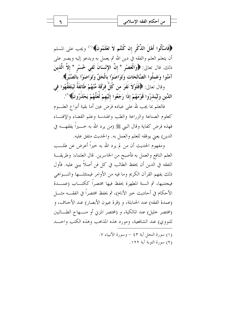﴿فَاسْأَلُوا أَهْلَ الذِّكْرِ إن كُنْتُم لاَ تَعْلَمُونَ﴾ ('' ويجب على المسلم أن يتعلَّم العلم والفقه في دين الله ثم يعمل به ويدعو إليه ويصبر على ذلك. قال تعالى: ﴿وَالْعَصْرِ \* إِنَّ الإِنْسَانَ لَفِي خُسْرٍ \* إِلاَّ الَّذِينَ آمَنُوا وَعَمِلُوا الصَّالحَات وَتَوَاصَوْا بِالْحَقِّ وَتَوَاصَوْا بِالصَّبْرِ﴾.

وقال تعالى: ﴿فَلَوْلاَ نَفَرَ من كُلِّ فِرْقَة مِّنْهُمْ طَائِفَةٌ لِيَتَفَقَّهُوا في الدِّين وَليُنذرُوا قَوْمَهُمْ إذَا رَجَعُوا إلَيْهِمْ لَعَلَّهُمْ يَحْذَرُونَ﴾(``.

فالعلم بما يجب لله على عباده فرض عين أما بقية أنواع العلــــوم كعلوم الصناعة والزراعة والطب والهندسة وعلم القضاء والإفتساء فهذه فرض كفاية وقال النبي ﷺ (من يرد الله به خـــــــــراً يفقهــــــه في الدين) يعني يوفقه للعلم والعمل به. والحديث متفق عليه.

ومفهوم الحديث أن من لم يرد الله به خيراً أعرض عن طلـــب العلم النافع والعمل به فأصبح من الخاسرين. قال العلماء: وطريقــة التفقه في الدين أن يحفظ الطالب في كل فن أصلاً يبني عليه. فأول ذلك يفهم القرآن الكريم وما فيه من الأوامر فيمتثلـــها والنـــواهي فيجتنبها، ثم السنة المطهرة يحفظ فيها مختصراً ككتـــاب (عمــــدة الأحكام في أحاديث حير الأنام)، ثم يحفظ مختصراً في الفقــــه مثــــل (عمدة الفقه) عند الحنابلة، و (قرة عيون الأبصار) عند الأحناف، و (مختصر حليل) عند المالكية، و (مختصر المزين أو منسهاج الطسالبين للنووي) عند الشافعية، ومورد هذه المذاهب وهذه الكتب واحـــد

> (١) سورة النحل آية ٤٣ - وسورة الأنبياء ٧. (٢) سورة التوبة آية ١٢٢.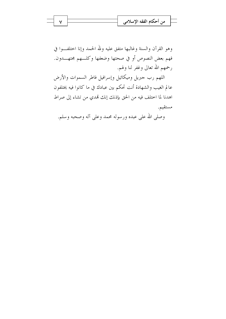

وهو القرآن والسنة وغالبها متفق عليه ولله الحمد وإنا احتلفــوا في فهم بعض النصوص أو في صحتها وضعفها وكلهم مجتهـــدون. رحمهم الله تعالى وغفر لنا ولهم.

اللهم رب حبريل وميكائيل وإسرافيل فاطر السموات والأرض عالم الغيب والشهادة أنت تحكم بين عبادك في ما كانوا فيه يختلفون اهدنا لما اختلف فيه من الحق بإذنك إنك تمدي من تشاء إلى صراط مستقيم.

وصلى الله على عبده ورسوله محمد وعلى آله وصحبه وسلم.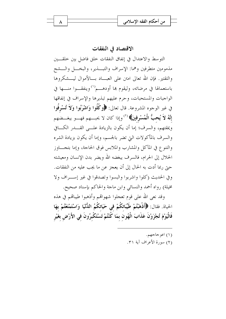

### الاقتصاد في النفقات

التوسط والاعتدال في إنفاق النفقات حلق فاضل بين حلقـــين مذمومين متطرفين وهما: الإسراف والتبـــذير ، والبخــــل والـــشح والتقتير. فإن الله تعالى امتن على العبـــاد بــــالأموال ليــــشكروها باستعمالها في مرضاته، وليقوم بما أودهـــم<sup>(١)</sup>وينفقـــوا منــــها في الواجبات والمستحبات، وحرم عليهم تبذيرها والإسراف في إنفاقها في غير الوجوه المشروعة. قال تعالى: ﴿وكُلُوا وَاشْرَبُوا وَلاَ تُسْرِفُوا **إِنَّهُ لاَ يُحبُّ الْمُسْرِفينَ﴾** (<sup>٢)</sup> وإذا كان لا يحبـــهم فهــــو يبغـــضهم ويمقتهم، والسرف؛ إما أن يكون بالزيادة علـــى القــــدر الكــــافي والسرف بالمأكولات التي تضر بالجسم، وإما أن يكون بزيادة الشره والتنوع في المآكل والمشارب والملابس فوق الحاجة، وإما بتجــاوز الحلال إلى الحرام، فالسرف يبغضه الله ويضر بدن الإنسان ومعيشته حيّ ربما أدت به الحال إلى أن يعجز عن ما يجب عليه من النفقات. وفي الحديث (كلوا واشربوا والبسوا وتصدقوا في غير إسبراف ولا مخيلة) رواه أحمد والنسائي وابن ماحة والحاكم بإسناد صحيح.

وقد نعي الله على قوم تعجلوا شهواتهم وأذهبوا طيباقم في هذه الحياة. فقال: ﴿أَذْهَبْتُمْ طَيِّبَاتِكُمْ فِي حَيَاتِكُمُ اللُّنْيَا وَاسْتَمْتَعْتُمْ بِهَا فَالْيَوْمَ تُجْزَوْنَ عَذَابَ الْهُون بمَا كُنْتُمْ تَسْتَكْبِرُونَ في الأَرْضِ بغَيْر

- (١) اعو جاجهم.
- (٢) سورة الأعراف آبة ٣١.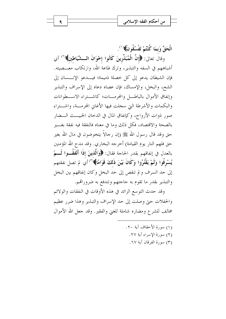الْحَقِّ وَبِمَا كُنْتُمْ تَفْسُقُونَ﴾(').

وقالُ تعالى: ﴿إِنَّ الْمُبَذِّرِينَ كَانُوا إِخْوَانَ السُّنَّيَاطِينَ﴾(`' أي أشباههم في السفه والتبذير، وترك طاعة الله، وارتكاب معـــصيته. فإن الشيطان يدعو إلى كل خصلة ذميمة؛ فيـــدعو الإنـــسان إلى الشح، والبخل، والإمساك، فإن عصاه دعاه إلى الإسراف والتبذير وإنفاق الأموال بالباطل والمحرمـات؛ كاشــتراء الاســطوانات والبكمات والأشرطة التي سجلت فيها الأغابي المحرمــة، واشــتراء صور ذوات الأرواح، وكإنفاق المال في الدحان الخبيـــث الـــضار بالصحة والاقتصاد، فكلَّ ذلك وما في معناه فالنفقة فيه نفقة بغـــير حق وقد قال رسول الله ﷺ (إن رحالاً يتخوضون في مال الله بغير حق فلهم النار يوم القيامة) أخرجه البخاري. وقد مدح الله المؤمنين بالعدل في إنفاقهم بقدر الحاحة فقال: ﴿وَالَّذِينَ إِذَا أَنْفَقُــوا لَـــمْ يُسْرِفُوا وَلَمْ يَقْتُرُوا وَكَانَ بَيْنَ ذَلكَ قَوَامًا﴾ ٌ `` أي لم تصل نفقتهم إلى حد السرف ولم تنقص إلى حد البخل وكان إنفاقهم بين البخل والتبذير بقدر ما تقوم به حاجتهم وتندفع به ضروراتهم.

وقد حدث التوسع الزائد في هذه الأوقات في النفقات والولائم والحفلات حتى وصلت إلى حد الإسراف والتبذير وهذا ضرر عظيم مخالف للشرع ومضاره شاملة للغني والفقير. وقد جعل الله الأموال

> (١) سورة الأحقاف آية ٢٠. (٢) سورة الإسراء آية ٢٧. (٣) سورة الفرقان آية ٦٧.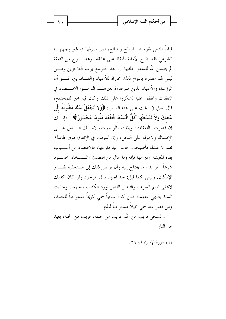قياماً للناس تقوم ها المصالح والمنافع، فمن صرفها في غير وجههـــا الشرعي فقد ضيع الأمانة الملقاة على عاتقه، وهذا النوع من النفقة لم يضمن الله للمنفق خلفها. إن هذا التوسع يرغم العاجزين ومــــن ليس لهم مقدرة بالتزام ذلك مجاراة للأغنياء والقـــادرين، فلــــو أن الرؤساء والأغنياء الذين هم قدوة لغيرهـــم التزمـــوا الاقتـــصاد في النفقات واتفقوا عليه لشكروا على ذلك وكان فيه حير للمجتمع، قال تعالى في الحث على هذا السبيل: ﴿وَلاَ تَجْعَلْ يَدَكَ مَغْلُولَةً إِلَى عُنُقكَ وَلاَ تَبْسُطْهَا كُلَّ الْبَسْط فَتَقْعُدَ مَلُومًا مَّحْسُورًا﴾ (`` فإنـــك إن قصرت بالنفقات، وبخلت بالواجبات، لامسك النساس علي الإمساك ولاموك على البخل، وإن أسرفت في الإنفاق فوق طاقتك نفد ما عندك فأصبحت حاسر اليد فارغها، فالاقتصاد من أســـباب بقاء المعيشة ودوامها فإنه (ما عال من اقتصد) والـسخاء المحمــود شرعاً: هو بذل ما يحتاج إليه وأن يوصل ذلك إلى مستحقيه بقــــدر الإمكان. وليس كما قيل: حد الجود بذل الموجود ولو كان كذلك لانتفى اسم السرف والتبذير اللذين ورد الكتاب بذمهما، وجاءت السنة بالنهي عنهما، فمن كان سخياً سمى كريماً مستوجباً للحمد، ومن قصر عنه سمي بخيلاً مستوجباً للذم.

والسخي قريب من الله، قريب من خلقه، قريب من الجنة، بعيد عن النار .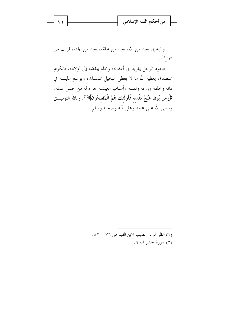والبخيل بعيد من الله، بعيد من خلقه، بعيد من الجنة، قريب من النار (۱).

فجود الرحل يقربه إلى أعدائه، وبخله يبغضه إلى أولاده، فالكريم المتصدق يعطيه الله ما لا يعطي البخيل الممسك، ويوسع عليـــه في ذاته وخلقه ورزقه ونفسه وأسباب معيشته جزاء له من جنس عمله. ﴿وَمَن يُوقَ شُحَّ نَفْسه فَأُولَئكَ هُمُ الْمُفْلحُونَ﴾(``. وبالله التوفيـــق وصلى الله على محمد وعلى آله وصحبه وسلم.

> (١) انظر الوابل الصيب لابن القيم ص ٧٦ – ٨٢. (٢) سورة الحشر آية ٩.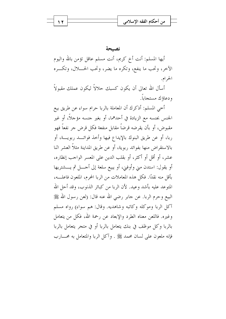نصيحة أيها المسلم: أنت أخ كريم، أنت مسلم عاقل تؤمن بالله واليوم الآخر، وتحب ما ينفع، وتكره ما يضر، وتحب الحــــلال، وتكــــره الحرام.

أسأل الله تعالى أن يكون كسبك حلالاً ليكون عملك مقبولاً ودعاؤك مستجاباً.

أخي المسلم: أذكرك أن المعاملة بالربا حرام سواء عن طريق بيع الجنس بجنسه مع الزيادة في أحدهما، أو بغير حنسه مؤحلاً، أو غير مقبوض، أو بأن يقرضه قرضاً مقابل منفعة فكل قرض جر نفعاً فهو ربا، أو عن طريق البنوك بالإيداع فيها وأحذ فوائـــد ربويـــة، أو بالاستقراض منها بفوائد ربوية، أو عن طريق المداينة مثلاً العشر اثنا عشر، أو أقل أو أكثر، أو بقلب الدين على المعسر الواحب إنظاره، أو يقول: استدن مني وأوفني، أو يبيع سلعة إلى أحـــل ثم يــــشتريها بأقل منه نقدًا. فكلِّ هذه المعاملات من الربا المحرم، الملعون فاعلـــه، المتوعد عليه بأشد وعيد. لأن الربا من كبائر الذنوب، وقد أحل الله البيع وحرم الربا. عن حابر رضي الله عنه قال: (لعن رسول الله ﷺ آكل الربا وموكله وكاتبه وشاهديه. وقال: هم سواء) رواه مسلم وغيره. فاللعن معناه الطرد والإبعاد عن رحمة الله، فكل من يتعامل بالربا وكل موظف في بنك يتعامل بالربا أو في متجر يتعامل بالربا فإنه ملعون على لسان محمد ﷺ . وآكل الربا والمتعامل به محــــارب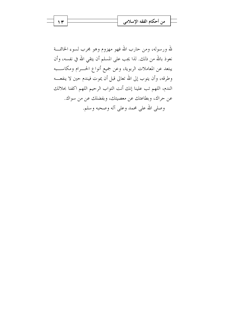لله ورسوله، ومن حارب الله فهو مهزوم وهو مجرب لسوء الخاتمـــة نعوذ بالله من ذلك. لذا يجب على المسلم أن يتقى الله في نفسه، وأن يبتعد عن المعاملات الربوية، وعن جميع أنواع الحـــرام ومكاســـبه وطرقه، وأن يتوب إلى الله تعالى قبل أن يموت فيندم حين لا ينفعـــه الندم، اللهم تب علينا إنك أنت التواب الرحيم اللهم اكفنا بحلالك عن حراك، وبطاعتك عن معصيتك، وبفضلك عن من سواك. وصلى الله على محمد وعلى آله وصحبه وسلم.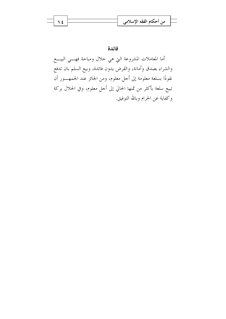|  | من احكام الفقه الإسلامي |  |
|--|-------------------------|--|
|  |                         |  |

### فائدة

أما المعاملات المشروعة التي هي حلال ومباحة فهـــي البيـــع والشراء بصدق وأمانة، والقرض بدون فائدة، وبيع السلم بان تدفع نقودًا بسلعة معلومة إلى أحل معلوم، ومن الجائز عند الجمهـــور أن تبيع سلعة بأكثر من ثمنها الحالي إلى أحل معلوم، وفي الحلال بركة وكفاية عن الحرام وبالله التوفيق.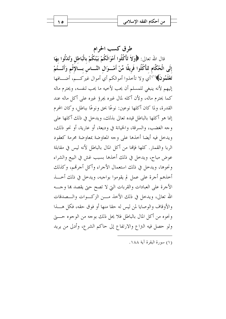طرق كسب الحرام قال الله تعالى: ﴿وَلاَ تَأْكُلُوا أَمْوَالَكُمْ بَيْنَكُمْ بِالْبَاطِلِ وَتُدْلُوا بِهَا إلَى الْحُكَّام لتَأْكُلُوا فَرِيقًا مِّنْ أَمْــوَال النَّـــاس بـــالإِثْمِ وَأَنْـــتُمْ تَعْلَمُونَ﴾(`' أي ولا تأحذوا أموالكم أي أموال غيركـــم، أضـــافها إليهم لأنه ينبغي للمسلم أن يحب لأخيه ما يحب لنفسه، ويحترم ماله كما يحترم ماله، ولأن أكله لمال غيره يجرؤ غيره على أكل ماله عند القدرة، ولما كان أكلها نوعين: نوعًا بحق ونوعًا بباطل، وكان المحرم إنما هو أكلها بالباطل قيده تعالى بذلك، ويدخل في ذلك أكلها على وجه الغضب، والسرقة، والخيانة في وديعة، أو عارية، أو نحو ذلك، ويدحل فيه أيضا أحذها على وجه المعاوضة بمعاوضة محرمة كعقود الربا والقمار . كلها فإنها من أكل المال بالباطل لأنه ليس في مقابلة عوض مباح، ويدحل في ذلك أحذها بسبب غش في البيع والشراء ونحوها، ويدحل في ذلك استعمال الأجراء وأكل أجرقمه، وكذلك أخذهم أجرة على عمل لم يقوموا بواجبه، ويدخل في ذلك أحسذ الأجرة على العبادات والقربات التي لا تصح حتى يقصد ها وحسه الله تعالى، ويدخل في ذلك الأخذ مـــن الزكـــوات والـــصدقات والأوقاف والوصايا لمن ليس له حقا منها أو فوق حقه، فكل هـــذا ونحوه من أكل المال بالباطل فلا يحل ذلك بوجه من الوجوه حـــــتي ولو حصل فيه النزاع والارتفاع إلى حاكم الشرع، وأدلى من يريد

(١) سورة البقرة آية ١٨٨.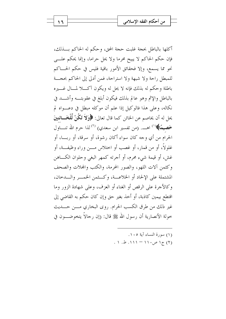أكلها بالباطل بحجة غلبت حجة المحق، وحكم له الحاكم بسذلك، فإن حكم الحاكم لا يبيح محرما ولا يحل حراما، وإنما يحكم علـــي نحو مما يسمع، وإلا فحقائق الأمور باقية فليس في حكم الحـــاكم للمبطل راحة ولا شبهة ولا استراحة، فمن أدلى إلى الحاكم بحجـــة باطلة وحكم له بذلك فإنه لا يحل له ويكون آكـــلا لمــــال غــــيره بالباطل والإثم وهو عالم بذلك فيكون أبلغ في عقوبتـــه وأشــــد في نكاله، وعلى هذا فالوكيل إذا علم أن موكله مبطل في دعـــواه لم يحل له أن يخاصم عن الخائن كما قال تعالى: ﴿وَلاَّ تَكُنْ لِّلْخَــائنينَ خَصيهًا﴾(`` اهـــ. (من تفسير ابن سعدي) <sup>(٢)</sup> لذا حرم الله تنـــاول الحرام من أي وجه كان سواء أكان رشوة، أو سرقة، أو ربـــا، أو غلولاً، أو من قمار، أو غصب أو اختلاس مـــن وراء وظيفـــة، أو غش، أو قيمة شيء محرم، أو أجرته كمهر البغي وحلوان الكـــاهن وكثمن آلات اللهو، والصور المحرمة، والكتب والمحلات والصحف المشتملة على الإلحاد أو الخلاعسة، وكسثمن الخمس والسدحان، وكالأجرة على الرقص أو الغناء أو العزف، وعلى شهادة الزور وما اقتطع بيمين كاذبة، أو أخذ بغير حق وإن كان حكم به القاضي إلى غير ذلك من طرق الكسب الحرام. روى البخاري مسن حسديث خولة الأنصارية أن رسول الله ﷺ قال: (إن رجالاً يتخوضــــون في

- (١) سورة النساء آية ١٠٥.
- $(7)$   $\frac{1}{2}$  (۲)  $\frac{1}{2}$  (۲)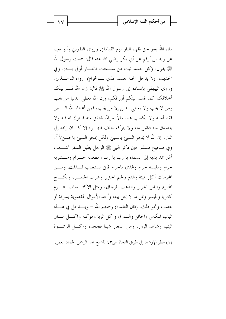مال الله بغير حق فلهم النار يوم القيامة). وروى الطبراني وأبو نعيم عن زيد بن أرقم عن أبي بكر رضي الله عنه قال: سمعت رسول الله ﷺ يقول: (كلَّ حسد نبت من ســـحت فالنـــار أولى بـــه). وفي الحديث: (لا يدخل الجنة جسد غذي بــالحرام). رواه الترمـــذي. وروى البيهقي بإسناده إلى رسول الله ﷺ قال: (إن الله قسم بينكم أخلاقكم كما قسم بينكم أرزاقكم، وإن الله يعطي الدنيا من يحب ومن لا يحب ولا يعطي الدين إلا من يحب، فمن أعطاه الله الــــدين فقد أحبه ولا يكسب عبد مالاً حرامًا فينفق منه فيبارك له فيه ولا يتصدق منه فيقبل منه ولا يتركه حلف ظهـــره إلا كـــان زاده إلى النار، إن الله لا يمحو السيئ بالسيئ ولكن يمحو السيئ بالحسن)''. وفي صحيح مسلم حين ذكر النبي ﷺ الرحل يطيل السفر أشـــعث أغبر يمد يديه إلى السماء يا رب يا رب ومطعمه حـــرام ومــــشربه حرام وملبسه حرام وغذى بالحرام فأين يستجاب لـــذلك. ومــــن المحرمات أكل الميتة والدم ولحم الخنزير وشرب الخمسر، ونكساح المحارم ولباس الحرير والذهب للرحال، ومثل الاكتـــساب المحـــرم كالربا والميسر وثمن ما لا يحل بيعه وأحذ الأموال المغصوبة بسرقة أو غصب ونحو ذلك. (قال العلماء) رحمهم الله – ويسدحل في هســذا الباب المكاس والخائن والسارق وآكل الربا وموكله وآكيل مسال اليتيم وشاهد الزور، ومن استعار شيئا فجحده وآكسل الرشبوة

(١) انظر الإر شاد إلى طريق النجاة ص٤٣ للشيخ عبد الرحمن الحماد العمر.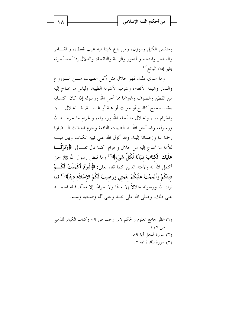ومنقص الكيل والوزن، ومن باع شيئا فيه عيب فغطاه، والمقــامر والساحر والمنجم والمصور والزانية والنائحة، والدلال إذا أخذ أجرته بغير إذن البائع<sup>(١)</sup>.

وما سوى ذلك فهو حلال مثل أكل الطيبات مـــن الـــزروع والثمار وبميمة الأنعام، وشرب الأشربة الطيبة، ولباس ما يحتاج إليه من القطن والصوف وغيرهما مما أحل الله ورسوله إذا كان اكتسابه بعقد صحيح كالبيع أو ميراث أو هبة أو غنيمـــة، فـــالحلال بـــين والحرام بين، والحلال ما أحله الله ورسوله، والحرام ما حرمــــه الله ورسوله، وقد أحل الله لنا الطيبات النافعة وحرم الخبائث الــضارة رحمة بنا وإحسانا إلينا، وقد أنزل الله على نبيه الكتاب وبين فيــــه للأمة ما تحتاج إليه من حلال وحرام. كما قال تعـــالى: ﴿وَنَزَّلْنَـــا عَلَيْكَ الْكَتَابَ تبْيَانًا لِّكُلِّ شَيْء\$`` وما قبض رسول الله ﷺ حتى أكمل الله له ولأمته الدين كما قال تعالى: ﴿الْيَوْمَ أَكْمَلْتُ لَكُـــمْ دينَكُمْ وَأَتْمَمْتُ عَلَيْكُمْ نعْمَتي وَرَضيتُ لَكُمُ الإِسْلاَمَ دينًا﴾'`` فما ترك الله ورسوله حلالاً إلا مبينًا ولا حرامًا إلا مبينًا. فلله الحمـــد على ذلك. وصلى الله على محمد وعلى آله وصحبه وسلم.

(١) انظر جامع العلوم والحكم لابن رحب ص ٥٩ وكتاب الكبائر للذهبي  $.11V$ (٢) سورة النحل آية ٨٩. (٣) سورة المائدة آية ٣.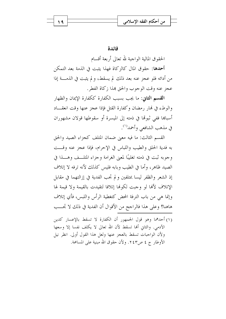#### فائدة

الحقوق المالية الواجبة لله تعالى أربعة أقسام

أحدها: حقوق المال كالزكاة فهذا يثبت في الذمة بعد التمكن من أدائه فلو عجز عنه بعد ذلك لم يسقط، و لم يثبت في الذمــــة إذا عجز عنه وقت الوجوب والحق هذا زكاة الفطر .

**القسم الثاني**: ما يجب بسبب الكفارة ككفارة الإيمان والظهار والوطء في فمار رمضان وكفارة القتل فإذا عجز عنها وقت انعقباد أسباها ففي ثبوهّا في ذمته إلى الميسرة أو سقوطها قولان مشهوران في مذهب الشافعي وأحمد''.

القسم الثالث: ما فيه معنى ضمان المتلف كجزاء الصيد والحق به فدية الحلق والطيب واللباس في الإحرام، فإذا عجز عنه وقَّـت وجوبه ثبت في ذمته تغليبًا لمعنى الغرامة وجزاء المتلَّــف وهـــذا في الصيد ظاهر، وأما في الطيب وبابه فليس كذلك لأنه ترفه لا إتلاف إذ الشعر والظفر ليسا بمتلفين ولم تجب الفدية في إزالتهما في مقابل الإتلاف لألها لو وحبت لكولها إتلافا لتقيدت بالقيمة ولا قيمة لها وإنما هي من باب الترفة المحض كتغطية الرأس واللبس، فأي إتلاف هاهنا؟ وعلى هذا فالراحح من الأقوال أن الفدية في ذلك لا تجـــب

(١) أحدهما وهو قول الجمهور أن الكفارة لا تسقط بالإعسار كدين الآدمى. والثاني ألها تسقط لأن الله تعالى لا يكلف نفسا إلا وسعها ولأن الواحبات تسقط بالعجز عنها ولعل هذا القول أولى. انظر نيل الأوطار ج ٤ ص٤٢٣. ولأن حقوق الله مبنية على المسامحة.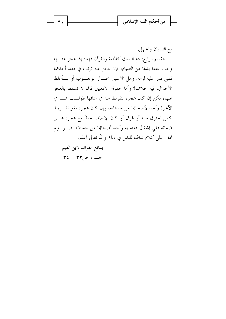

مع النسيان والجهل.

القسم الرابع: دم النسك كالمتعة والقرآن فهذه إذا عجز عنـــها وجب عنها بدلها من الصيام، فإن عجزٍ عنه ترتب في ذمته أحدهما فمتى قدر عليه لزمه. وهل الاعتبار بحـــال الوحــــوب أو بـــأغلط الأحوال، فيه خلاف؟ وأما حقوق الآدميين فإنها لا تسقط بالعجز عنها، لكن إن كان عجزه بتفريط منه في آدائها طولـــب همــــا في الآخرة وأخذ لأصحاها من حسناته، وإن كان عجزه بغير تفـــريط كمن احترق ماله أو غرق أو كان الإتلاف خطأ مع عجزه عـــن ضمانه ففي إشغال ذمته به وأحذ أصحاها من حسناته نظــر. ولم أقف على كلام شاف للناس في ذلك والله تعالى أعلم. بدائع الفوائد لابن القيم

 $\mathbf{r} \mathbf{t} - \mathbf{r} \mathbf{r}$ جـــ ٤ ص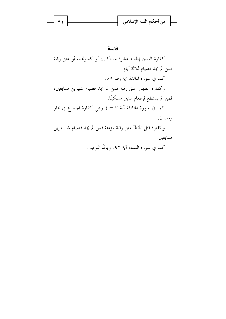|  | من احكام الفقه الإسلامي |  |
|--|-------------------------|--|
|  |                         |  |

فائدة

كفارة اليمين إطعام عشرة مساكين، أو كسوتمم، أو عتق رقبة فمن لم يجد فصيام ثلاثة أيام. كما في سورة المائدة آية رقم ٨٩. وكفارة الظهار عتق رقبة فمن لم يجد فصيام شهرين متتابعين، فمن لم يستطع فإطعام ستين مسكينًا. كما في سورة المحادلة آية ٣ – ٤ وهي كفارة الجماع في نمار رمضان. وكفارة قتل الخطأ عتق رقبة مؤمنة فمن لم يجد فصيام شــــهرين متتابعين.

كما في سورة النساء آية ٩٢. وبالله التوفيق.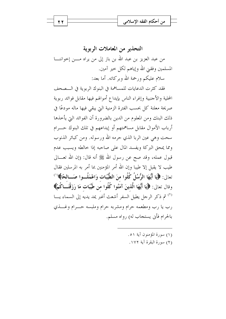|  | احجام الفقة الإسلامي<br>هـ - |  |
|--|------------------------------|--|
|  |                              |  |
|  |                              |  |

التحذير من المعاملات الربوية من عبد العزيز بن عبد الله بن باز إلى من يراه مــــن إخواننــــا المسلمين وفقين الله وإياهم لكل حير آمين. سلام عليكم ورحمة الله وبركاته. أما بعد:

فقد كثرت الدعايات للمساهمة في البنوك الربوية في الــصحف المحلية والأجنبية وإغراء الناس بإيداع أموالهم فيها مقابل فوائد ربوية صريحة معلنة كل بحسب الفترة الزمنية التي يبقى فيها ماله مودعًا في ذلك البنك ومن المعلوم من الدين بالضرورة أن الفوائد التي يأحذها أرباب الأموال مقابل مساهمتهم أو إيداعهم في تلك البنوك حـــرام سحت وهي عين الربا الذي حرمه الله ورسوله. ومن كبائر الذنوب ومما يمحق البركة ويفسد المال على صاحبه إذا خالطه ويسبب عدم قبول عمله، وقد صح عن رسول الله ﷺ أنه قال: (إن الله تعـــالى طيب لا يقبل إلا طيبا وإن الله أمر المؤمنين بما أمر به المرسلين فقال تعالى: ﴿إِيَّا أَيُّهَا الرُّسُلُ كُلُوا مِنَ الطَّيِّبَاتِ وَاعْمَلُــوا صَـــالحًا﴾ (`` وقال تعالى: ﴿إِيَا أَيُّهَا الَّذِينَ آمَنُوا كُلُوا مَن طَيِّبَات مَا رَزَقْنَــاكُمْ﴾ <sup>(٢)</sup> ثم ذكر الرحل يطيل السفر أشعث أغبر يمد يديه إلى السماء يـــا رب يا رب ومطعمه حرام ومشربه حرام وملبسه حسرام وغسذي بالحرام فأين يستجاب له) رواه مسلم.

- (١) سورة المؤمنون آية ٥١.
- (٢) سورة البقرة آية ١٧٢.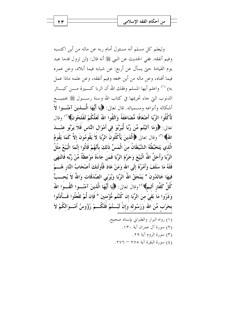وليعلم كل مسلم أنه مسئول أمام ربه عن ماله من أين اكتسبه وفيم أنفقه. ففي الحديث عن النبي ﷺ أنه قال: (لن تزول قدما عبد يوم القيامة حتى يسأل عن أربع: عن شبابه فيما أبلاه، وعن عمره فيما أفناه، وعن ماله من أين جمعه وفيم أنفقه، وعن علمه ماذا عمل به) <sup>(۱)</sup> واعلم أيها المسلم وفقك الله أن الربا كـــبيرة مــــن كبــــائر الذنوب التي جاء تحريمها في كتاب الله وسنة رســـول ﷺ بجميــــع أشكاله وأنواعه ومسمياته. قال تعالى: ﴿يَا أَيُّهَا الْــــٰٰذِينَ آمَنُـــوا لاَ تَأْكُلُوا الرِّبَا أَضْعَافًا مُّضَاعَفَةً وَاتَّقُوا اللهَ لَعَلَّكُمْ تُفْلحُو نَ﴾ (`` وقال تعالى: ﴿وَمَا آتَيْتُم مِّن رِّبًا لِّيَرْبُوَ فِي أَمْوَالِ النَّاسِ فَلاَ يَرْبُو عِنْـــدَ الله ﴾ (٣) وقال تعالى ﴿الَّذِينَ يَأْكُلُونَ الرِّبَا لاَ يَقُومُونَ إلاَّ كَمَا يَقُومُ الَّذي يَتَخَبَّطُهُ الشَّيْطَانُ منَ الْمَسِّ ذَلكَ بِأَنَّهُمْ قَالُوا إِنَّمَا الْبَيْعُ مثْلُ الرِّبَا وَأَحَلَّ اللهُ الْبَيْعَ وَحَرَّمَ الرِّبَا فَمَن جَاءَهُ مَوْعظَةٌ مِّنْ رَّبِّه فَانْتَهَى فَلَهُ مَا سَلَفَ وَأَمْرُهُ إِلَى الله وَمَنْ عَادَ فَأُولَئكَ أَصْحَابُ النَّارِ هُـــمْ فِيهَا خَالِدُونَ \* يَمْحَقُ اللّهُ الرِّبَا وَيُرْبِى الصَّدَقَاتِ وَاللّهُ لاَ يُحــبُّ كُلَّ كَفَّارٍ أَثِيمٍ﴾ ۚ ' وقال تعالى: ﴿إِيَا أَيُّهَا الَّذِينَ آمَنُـــوا اتَّقُـــوا اللَّهَ وَذَرُوا مَا بَقَيَ منَ الرِّبَا إن كُنْتُم مُّؤْمنينَ \* فَإِن لَّمْ تَفْعَلُوا فَسَأْذَنُوا بحَرْب مِّنَ الله وَرَسُوله وَإِنْ تُبْـــتُمْ فَلَكُـــمْ رُؤُوسُ أَمْــوَالكُمْ لاَ

(٤) سورة البقرة آية ٢٧٥ - ٢٧٦.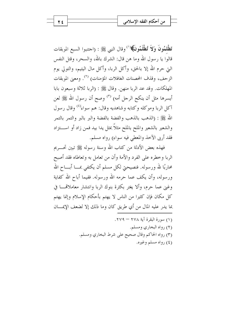تَظْلَمُونَ وَلاَ تُظْلَمُونَ﴾(``وقال النبي ﷺ : (احتنبوا السبع الموبقات قالوا يا رسول الله وما هن قال: الشرك بالله، والسحر، وقتل النفس التي حرم الله إلا بالحق، وأكل الربا، وأكل مال اليتيم، والتولي يوم الزحف، وقذف المحصنات الغافلات المؤمنات) (<sup>٢)</sup>. ومعنى الموبقات المهلكات. وقد عد الربا منهن. وقال ﷺ : (الربا ثلاثة وسبعون بابا أيسرها مثل أن ينكح الرجل أمه) <sup>(٣)</sup> وصح أن رسول الله ﷺ لعن آكل الربا وموكله وكتابه وشاهديه وقال: هم سواء<sup>(٤)</sup> وقال رسول الله ﷺ : (الذهب بالذهب والفضة بالفضة والبر بالبر والتمر بالتمر والشعير بالشعير والملح بالملح مثلاً بمثل يدا بيد فمن زاد أو اســــتزاد فقد أربي الآخذ والمعطي فيه سواءٍ) رواه مسلم.

فهذه بعض الأدلة من كتاب الله وسنة رسوله ﷺ تبين تحـــريم الربا وخطره على الفرد والأمة وأن من تعامل به وتعاطاه فقد أصبح محاربًا لله ورسوله. فنصيحتي لكل مسلم أن يكتفي بمـــا أبــــاح الله ورسوله، وأن يكف عما حرمه الله ورسوله. ففيما أباح الله كفاية وغني عما حرم، وألا يغتر بكثرة بنوك الربا وانتشار معاملاقمـــا في كل مكان فإن كثيرا من الناس لا يهتم بأحكام الإسلام وإنما يهتم بما يدر عليه المال من أي طريق كان وما ذلك إلا لضعف الإيمـــان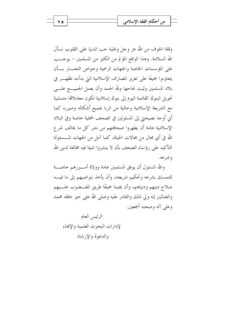وقلة الخوف من الله عز وجل وغلبة حب الدنيا على القلوب نسأل الله السلامة. وهذا الواقع المؤلم من الكثير من المسلمين – يوجـــب على المؤسسات الخاصة والجهات الرسمية وحواص التجسار بسأن يتعاونوا جميعًا على تعزيز المصارف الإسلامية التي بدأت تظهـــر في بلاد المسلمين وثبت نجاحها ولله الحمد وأن يعمل الجميـــع علـــي تحويل البنوك القائمة اليوم إلى بنوك إسلامية تكون معاملاتما متمشية مع الشريعة الإسلامية وخالية من الربا بجميع أشكاله وصوره كما أين أوجه نصيحيّ إلى المسئولين في الصحف المحلية خاصة وفي البلاد الإسلامية عامة أن يطهروا صحافتهم من نشر كل ما يخالف شرع الله في أي مجال من مجالات الحياة، كما آمل من الجهات المــــسئولة التأكيد على رؤساء الصحف بأن لا ينشروا شيئا فيه مخالفة لدين الله و شرعه.

والله المسئول أن يوفق المسلمين عامة وولاة أمــورهم حاصـــة للتمسك بشرعه وتحكيم شريعته، وأن يأخذ بنواصيهم إلى ما فيسه صلاح دينهم ودنياهم، وأن يجنبنا جميعًا طريق المغــضوب علـــيهم والضالين إنه ولي ذلك والقادر عليه وصلى الله على حير حلقه محمد وعلى آله وصحبه أجمعين.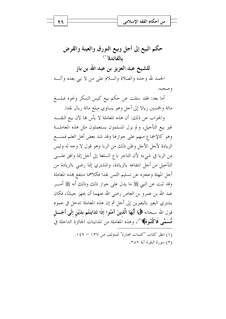

حكم البيع إلى أجل وبيع التورق والعينة والقرض  $^{(1)}$ بالفائدة للشيخ عبد العزيز بن عبد الله بن باز الحمد لله وحده والصلاة والسلام على من لا نبي بعده وآلـــه و صحبه.

أما بعد: فقد سئلت عن حكم بيع كيس السكر ونحوه بمبلـــغ مائة وخمسين ريالا إلى أحل وهو يساوي مبلغ مائة ريال نقدا.

والجواب عن ذلك: أن هذه المعاملة لا بأس ها لأن بيع النقـــد غير بيع التأجيل، ولم يزل المسلمون يستعملون مثل هذه المعاملـــة وهو كالإجماع منهم على جوازها وقد شذ بعض أهل العلم فمنسع الزيادة لأجل الأجل وظن ذلك من الربا وهو قول لا وجه له وليس من الربا في شيء؛ لأن التاجر باع السلعة إلى أجل إنما وافق علـــي التأجيل من أجل انتفاعه بالزيادة، والمشتري إنما رضي بالزيادة من أحل المهلة وعجزه عن تسليم الثمن نقدا فكلاهما منتفع هذه المعاملة وقد ثبت عن النبي ﷺ ما يدل على حواز ذلك وذلك أنه ﷺ أمـــر عبد الله بن عمرو بن العاص رضي الله عنهما أن يجهز حيشًا، فكان يشتري البعير بالبعيرين إلى أجل ثم إن هذه المعاملة تدخل في عموم قول الله سبحانه ﴿يَا أَيُّهَا الَّذينَ آمَنُوا إذَا تَدَايَنتُم بِدَيْنِ إِلَى أَجَـــلِ هُّسَمَّى فَاكْتُبُوهُ﴾(``، وهذه المعاملة من المداينات الجائزة الداحلة في

> (١) انظر كتاب "كلمات مختارة" للمؤلف ص ١٣٧ - ١٤٢. (٢) سورة البقرة آية ٢٨٢.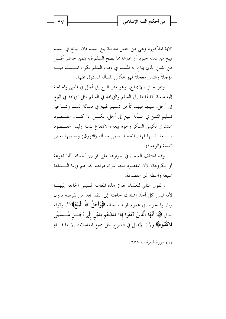الآية المذكورة وهي من جنس معاملة بيع السلم فإن البائع في السلم يبيع من ذمته حبوبا أو غيرها مما يصح السلم فيه بثمن حاضر أقـــل من الثمن الذي يباع به المسلم في وقت السلم لكون المـــسلم فيــــه مؤجلاً والثمن معجلاً فهو عكس المسألة المسئول عنها.

وهو جائز بالإجماع، وهو مثل البيع إلى أجل في المعنى والحاجة إليه ماسة كالحاجة إلى السلم والزيادة في السلم مثل الزيادة في البيع إلى أحل، سببها فيهما تأخير تسليم المبيع في مسألة السلم وتـــأخير تسليم الثمن في مسألة البيع إلى أجل، لكـــن إذا كــــان مقــــصود المشتري لكيس السكر ونحوه بيعه والانتفاع بثمنه وليس مقــصود بالسلعة نفسها فهذه المعاملة تسمى مسألة (التورق) ويسميها بعض العامة (الوعدة).

وقد اختلف العلماء في جوازها على قولين: أحدهما أَهْا ممنوعة أو مكروهة، لأن المقصود منها شراء دراهم بدراهم وإنما الـــسلعة المبيعة واسطة غير مقصودة.

والقول الثابي للعلماء جواز هذه المعاملة لمسيس الحاجة إليها لأنه ليس كل أحد اشتدت حاجته إلى النقد يجد من يقرضه بدون ربا، ولدحولها في عموم قوله سبحانه ﴿وَأَحَلَّ اللَّهُ الْبَيْعَ﴾(``، وقوله تعالى ﴿لِيَا أَيُّهَا الَّذِينَ آمَنُوا إِذَا تَدَايَنتُم بِدَيْنِ إِلَى أَجَـــلِ مُّـــسَمًّى فَاكْتُبُوهُ﴾ ولأن الأصل في الشرع حل جميع المعاملات إلا ما قــــام

(١) سورة البقرة آية ٢٧٥.

27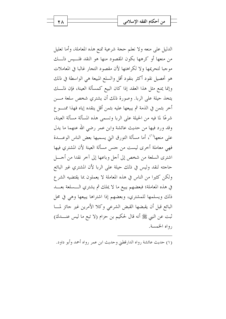الدليل على منعه ولا نعلم حجة شرعية تمنع هذه المعاملة، وأما تعليل من منعها أو كرهها بكون المقصود منها هو النقد فلسيس ذلسك موجبا لتحريمها ولا لكراهتها لأن مقصود التجار غالبا في المعاملات هو تحصيل نقود أكثر بنقود أقل والسلع المبيعة هي الواسطة في ذلك وإنما يمنع مثل هذا العقد إذا كان البيع كمسألة العينة، فإن ذلـــك يتخذ حيلة على الربا. وصورة ذلك أن يشتري شخص سلعة مـــن أخر بثمن في الذمة ثم يبيعها عليه بثمن أقل ينقده إياه فهذا ممنسوع شرعًا لما فيه من الحيلة على الربا وتسمى هذه المسألة مسألة العينة، وقد ورد فيها من حديث عائشة وابن عمر رضي الله عنهما ما يدل على منعها<sup>(١)</sup>، أما مسألة التورق التي يسميها بعض الناس الوعـــدة فهي معاملة أخرى ليست من جنس مسألة العينة لأن المشترى فيها اشترى السلعة من شخص إلى أجل وباعها إلى آخر نقدا من أجــــل حاجته لنقد وليس في ذلك حيلة على الربا لأن المشترى غير البائع ولكن كثيرًا من الناس في هذه المعاملة لا يعملون بما يقتضيه الشرع في هذه المعاملة؛ فبعضهم يبيع ما لا يملك ثم يشتري الـــسلعة بعــــد ذلك ويسلمها للمشتري، وبعضهم إذا اشتراها يبيعها وهي في محل البائع قبل أن يقبضها القبض الشرعي وكلا الأمرين غير حائز لمسا تَّبت عن النبي ﷺ أنه قال لحكيم بن حزام (لا تبع ما ليس عنــــدك) رواه الخمسة.

(١) حديث عائشة رواه الدارقطني وحديث ابن عمر رواه أحمد وأبو داود.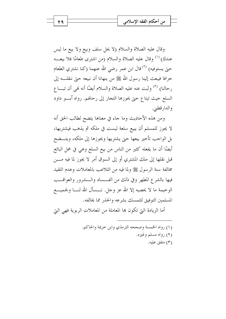وقال عليه الصلاة والسلام (لا يحل سلف وبيع ولا بيع ما ليس عندك) <sup>(١)</sup> وقال عليه الصلاة والسلام (من اشترى طعامًا فلا بيعـــه حتى يستوفيه) <sup>(٢)</sup> قال ابن عمر رضي الله عنهما (كنا نشتري الطعام جزافا فيبعث إلينا رسول الله ﷺ من ينهانا أن نبيعه حتى ننقلــــه إلى رحالنا) <sup>(٣)</sup> وثبت عنه عليه الصلاة والسلام أيضًا أنه فمي أن تبــــا ع السلع حيث تبتاع حتى يحوزها التجار إلى رحالهم. رواه أبــــو داود والدار قطبي.

ومن هذه الأحاديث وما حاء في معناها يتضح لطالب الحق أنه لا يجوز للمسلم أن يبيع سلعة ليست في ملكه ثم يذهب فيشتريها، بل الواحب تأحير بيعها حتى يشتريها ويحوزها إلى ملكه، ويتـــضح أيضًا أن ما يفعله كثير من الناس من بيع السلع وهي في محل البائع قبل نقلها إلى ملك المشترى أو إلى السوق أمر لا يجوز لما فيه مــــن مخالفة سنة الرسول ﷺ ولما فيه من التلاعب بالمعاملات وعدم التقيد فيها بالشرع المطهر وفي ذلك من الفسساد والسشرور والعواقسب الوحيمة ما لا يحصيه إلا الله عز وحل. نـــسأل الله لنــــا ولجميــــع المسلمين التوفيق للتمسك بشرعه والحذر مما يخالفه.

أما الزيادة التي تكون بها المعاملة من المعاملات الربوية فهي التي

(١) رواه الخمسة وصححه الترمذي وابن حزيمة والحاكم. (۲) رواه مسلم وغیره. (٣) متفق عليه.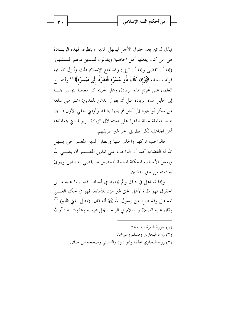تبذل لدائن بعد حلول الأجل ليمهل المدين وينظره، فهذه الزيسادة هي التي كان يفعلها أهل الجاهلية ويقولون للمدين قولهم المسشهور (إما أن تقضى وإما أن تربي) وقد منع الإسلام ذلك وأنزل الله فيه قوله سبحانه ﴿وَإِن كَانَ ذُو عُسْرَة فَنَظِرَةٌ إِلَى مَيْسَرَةٌ﴾'`` وأجمـــع العلماء على تحريم هذه الزيادة، وعلى تحريم كل معاملة يتوصل هسا إلى تحليل هذه الزيادة مثل أن يقول الدائن للمدين: اشتر مني سلعة من سكرٍ أو غيره إلى أحل ثم بعها بالنقد وأوفني حقى الأول فـــإن هذه المعاملة حيلة ظاهرة على استحلال الزيادة الربوية التي يتعاطاها أهل الجاهلية لكن بطريق آخر غير طريقهم.

فالواجب تركها والحذر منها وإنظار المدين المعسر حتى يسهل الله له القضاء، كما أن الواحب على المدين المعــــسر أن يتقـــــى الله ويعمل الأسباب الممكنة المباحة لتحصيل ما يقضي به الدين ويبرئ به ذمته من حق الدائنين.

وإذا تساهل في ذلك ولم يجتهد في أسباب قضاء ما عليه مــــن الحقوق فهو ظالم لأهل الحق غير مؤد للأمانة، فهو في حكم الغـــــني المماطل وقد صح عن رسول الله ﷺ أنه قال: (مطل الغني ظلم) <sup>(٢)</sup> وقال عليه الصلاة والسلام لي الواحد يحل عرضه وعقوبتــــه <sup>(٣)</sup>والله

> (١) سورة البقرة آية ٢٨٠. (٢) رواه البخاري ومسلم وغيرهما. (٣) , وإه البخاري تعليقا وأبو داود والنسائي وصححه ابن حبان.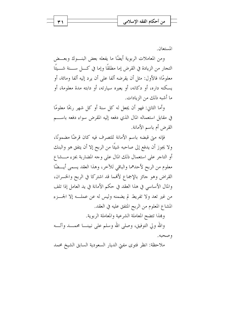

المستعان

ومن المعاملات الربوية أيضًا ما يفعله بعض البنسوك وبعسض التجار من الزيادة في القرض إما مطلقًا وإما في كـــل ســـنة شـــيئًا معلومًا؛ فالأول: مثل أن يقرضه ألفا على أن يرد إليه ألفا ومائة، أو يسكنه داره، أو دكانه، أو يعيره سيارته، أو دابته مدة معلومة، أو ما أشبه ذلك من الزيادات.

وأما الثاني: فهو أن يجعل له كل سنة أو كل شهر ربحًا معلومًا في مقابل استعماله المال الذي دفعه إليه المقرض سواء دفعه باســـم القرض أم باسم الأمانة.

فإنه متى قبضه باسم الأمانة للتصرف فيه كان قرضًا مضمونًا، ولا يجوز أن يدفع إلى صاحبه شيئًا من الربح إلا أن يتفق هو والبنك أو التاجر على استعمال ذلك المال على وجه المضاربة بجزء مـــشاع معلوم من الربح لأحدهما والباقي للآخر، وهذا العقد يسمى أيـــضًا القراض وهو جائز بالإجماع لأفمما قد اشتركا في الربح والخسران، والمال الأساسي في هذا العقد في حكم الأمانة في يد العامل إذا تلف من غير تعد ولا تفريط لم يضمنه وليس له عن عملــه إلا الجـــزء المشاع المعلوم من الربح المتفق عليه في العقد.

وهذا تتضح المعاملة الشرعية والمعاملة الربوية.

والله ولي التوفيق، وصلى الله وسلم على نبينـــا محمـــد وآلـــه و صحيه.

ملاحظة: انظر فتوى مفتى الديار السعودية السابق الشيخ محمد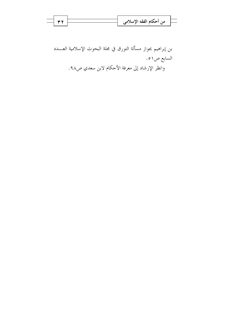

بن إبراهيم بجواز مسألة التورق في مجلة البحوث الإسلامية العــــدد السابع ص١٥. وانظر الإرشاد إلى معرفة الأحكام لابن سعدي ص٩٨.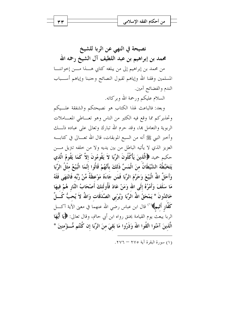نصيحة في النهي عن الربا للشيخ محمد بن إبراهيم بن عبد اللطيف آل الشيخ رحمه الله من محمد بن إبراهيم إلى من يبلغه كتابي هـــذا مـــن إخواننـــا المسلمين وفقنا الله وإياهم لقبول النصائح وحنبنا وإياهم أســـباب الندم والفضائح آمين.

السلام عليكم ورحمة الله وبركاته.

وبعد: فالباعث لهذا الكتاب هو نصيحتكم والشفقة علــيكم وتحذيركم مما وقع فيه الكثير من الناس وهو تعــاطى المعــاملات الربوية والتعامل بما، وقد حرم الله تبارك وتعالى على عباده ذلــك وأخبر النبي ﷺ أنه من السبع الموبقات، قال الله تعـــالى في كتابــــه العزيز الذي لا يأتيه الباطل من بين يديه ولا من خلفه تتزيل مــــن حكيم حميد ﴿الَّذِينَ يَأْكُلُونَ الرِّبَا لاَ يَقُومُونَ إِلاَّ كَمَا يَقُومُ الَّذِي يَتَخَبَّطُهُ الشَّيْطَانُ منَ الْمَسِّ ذَلكَ بأَنَّهُمْ قَالُوا إِنَّمَا الْبَيْعُ مثْلُ الرِّبَا وَأَحَلَّ اللَّهُ الْبَيْعَ وَحَرَّمَ الرِّبَا فَمَن جَاءَهُ مَوْعظَةٌ مِّنْ رَّبِّه فَانْتَهَى فَلَهُ مَا سَلَفَ وَأَمْرُهُ إِلَى الله وَمَنْ عَادَ فَأُولَئكَ أَصْحَابُ النَّارِ هُمْ فِيهَا خَاللُونَ \* يَمْحَقُ اللّهُ الرِّبَا وَيُرْبِى الصَّدَقَات وَاللّهُ لاَ يُحبُّ كُـــلَّ كَفَّارٍ أَثِيمٍ﴾ ``` قال ابن عباس رضى الله عنهما في معنى الآية آكـــل الربا يبعث يوم القيامة يخنق رواه ابن أبي حاتم، وقال تعالى: ﴿إِيَا أَيُّهَا الَّذينَ آمَنُوا اتَّقُوا اللَّهَ وَذَرُوا مَا بَقىَ منَ الرِّبَا إن كُنْتُم مُّــؤْمنينَ \*

(١) سورة البقرة آية ٢٧٥ - ٢٧٦.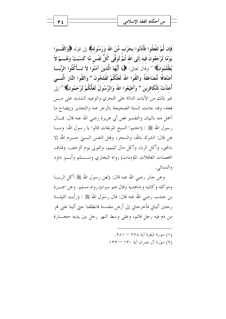فَإِن لَّمْ تَفْعَلُوا فَأْذَنُوا بِحَرْبٍ مِّنَ الله وَرَسُوله﴾ إلى قوله ﴿وَاتَّقُــوا يَوْمًا تُرْجَعُونَ فيه إِلَى الله تُمَّ تُوَفَّى كُلُّ نَفْسَ مَّا كَسَبَتْ وَهُـــمْ لاَ يُظْلَمُو نَ﴾ (`` وقال تعالى: ﴿إِيَا أَيُّهَا الَّذِينَ آمَنُوا لاَ تَسَأْكُلُوا الرِّبَــا أَضْعَافًا مُّضَاعَفَةً وَاتَّقُوا اللهَ لَعَلَّكُمْ تُفْلحُونَ \* وَاتَّقُوا النَّارَ الَّتـــى أُعدِّتْ لِلْكَافِرِينَ \* وَأَطِيعُوا اللَّهَ وَالرَّسُولَ لَعَلَّكُمْ تُرْحَمُونَ﴾(`' إلى غير ذلك من الآيات الدالة على التحري والوعيد الشديد على مـــــن فعله، وقد جاءت السنة الصحيحة بالزجر عنه والتحذير وإيضاح ما أجمل منه بالبيان والتفسير فعن أبي هريرة رضي الله عنه قال: قـــال رسول الله ﷺ : (احتنبوا السبع الموبقات قالوا يا رسول الله: ومـــا هن قال: الشرك بالله، والسحر، وقتل النفس الـــتي حـــرم الله إلا بالحق، وأكل الربا، وأكل مال اليتيم، والتولى يوم الزحف، وقذف المحصنات الغافلات المؤمنات) رواه البخاري ومسسلم وأبسو داود و النسائي .

وعن جابر رضي الله عنه قال: (لعن رسول الله ﷺ آكل الربـــا وموكله وكاتبه وشاهديه وقال هم سواء) رواه مسلم. وعن سمــرة بن جندب رضي الله عنه قال: قال رسول الله ﷺ : (رأيت الليلــــة ر حلين أتياني فأحرجاني إلى أرض مقدسة فانطلقنا حتى أتينا على لهر من دم فيه رحل قائم، وعلى وسط النهر رحل بين يديه حجـــارة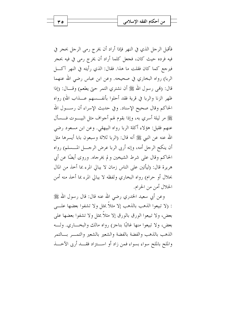فأقبل الرحل الذي في النهر فإذا أراد أن يخرج رمي الرحل بحجر في فيه فرده حيث كان، فجعل كلما أراد أن يخرج رمي في فيه بحجر فيرجع كما كان فقلت ما هذا. فقال: الذي رأيته في النهر آكـــل الربا) رواه البخاري في صحيحه. وعن ابن عباس رضي الله عنهما قال: (فمي رسول الله ﷺ أن نشتري التمر حتى يطعم) وقـــال: (إذا ظهر الزنا والربا في قرية فقد أحلوا بأنف سهم عسذاب الله) رواه الحاكم وقال صحيح الإسناد. وفي حديث الإسراء أن رســـول الله ﷺ مر ليلة أسرى به، وإذا بقوم لهم أجواف مثل البيـــوت فـــسأل عنهم فقيل: هؤلاء أكلة الربا رواه البيهقي. وعن ابن مسعود رضي الله عنه عن النبي ﷺ أنه قال: (الربا ثلاثة وسبعون بابا أيسرها مثل أن ينكح الرجل أمه، وإنه أربي الربا عرض الرجـــل المـــسلم) رواه الحاكم وقال على شرط الشيخين و لم يخرجاه. وروى أيضًا عن أبي هريرة قال: (ليأتين على الناس زمان لا يبالي المرء بما أحذ من المال بحلال أو حرام) رواه البخاري ولفظه لا يبالي المرء بما أخذ منه أمن الحلال أمن من الحرام.

وعن أبي سعيد الخدري رضي الله عنه قال: قال رسول الله ﷺ : (لا تبيعوا الذهب بالذهب إلا مثلاً بمثل ولا تشفوا بعضها علـــي بعض، ولا تبيعوا الورق بالورق إلا مثلاً بمثل ولا تشفوا بعضها على بعض، ولا تبيعوا منها غائبًا بناجز) رواه مالك والبخــــاري. ولــــه الذهب بالذهب والفضة بالفضة والشعير بالشعير والتمسر بسالتمر والملح بالملح سواء بسواء فمن زاد أو اســـتزاد فقـــد أربى الآخـــذ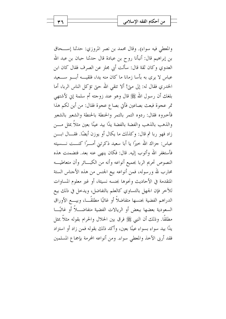والمعطي فيه سواء). وقال محمد بن نصر المروزي: حدثنا إســحاق بن إبراهيم قال: أنبأنا روح بن عبادة قال حدثنا حبان بن عبد الله العدوي وكان ثقة قال: سألت أبي مجلز عن الصرف فقال كان ابن عباس لا پرې به بأسا زمانا ما كان منه يدا، فلقيــــه أبــــو ســــعيد الخدري فقال له: إلى متى! ألا تتقى الله حتى تؤكل الناس الربا، أما بلغك أن رسول الله ﷺ قال وهو عند زوجته أم سلمة إين لأشتهي تمر عجوة فبعث بصاعين فأتي بصاع عجوة فقال: من أين لكم هذا فأحبروه فقال: ردوه التمر بالتمر والحنطة بالحنطة والشعير بالشعير والذهب بالذهب والفضة بالفضة يدًا بيد عينًا بعين مثلاً بمثل مــــن زاد فهو ربا ثم قال: وكذلك ما يكال أو يوزن أيضًا. فقـــال ابـــن عباس: جزاك الله خيرًا يا أبا سعيد ذكرتني أمـــرًا كنـــت نـــسيته فأستغفر الله وأتوب إليه. قال: فكان ينهي عنه بعد. فتضمنت هذه النصوص تحريم الربا بجميع أنواعه وأنه من الكبسائر وأن متعاطيسه محارب لله ورسوله، فمن أنواعه بيع الجنس من هذه الأجناس الستة المتقدمة في الأحاديث ونحوها بجنسه نسيئة، أو غير معلوم المساوات للآخر فإن الجهل بالتساوي كالعلم بالتفاضل، ويدخل في ذلك بيع الدراهم الفضية بجنسها متفاضلاً أو غائبًا مطلقًـــا، وبيــــع الأوراق السعودية بعضها ببعض أو الريالات الفضية متفاضــــلاً أو غائبًــــا مطلقًا. وذلك أن النبي ﷺ فرق بين الحلال والحرام بقوله مثلاً بمثل يدًا بيد سواءِ بسواءِ عينًا بعين، وأكد ذلك بقوله فمن زاد أو استزاد فقد أربى الآخذ والمعطى سواء. ومن أنواعه المحرمة بإجماع المسلمين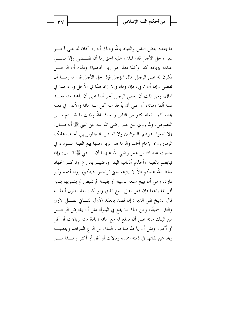ما يفعله بعض الناس والعياذ بالله وذلك أنه إذا كان له على آخــــر دين وحل الأجل قال للذي عليه الحق إما أن تقـــضى وإلا يبقـــى عندك بزيادة كذا وكذا فهذا هو ربا الجاهلية؛ وذلك أن الرجـــل يكون له على الرجل المال المؤجل فإذا حل الأجل قال له إمـــا أن تقضى وإما أن تربى، فإن وفاه وإلا زاد هذا في الأجل وزاد هذا في المال، ومن ذلك أن يعطي الرجل آخر ألفا على أن يأخذ منه بعـــد سنة ألفا ومائة، أو على أن يأخذ منه كل سنة مائة والألف في ذمته بحاله كما يفعله كثير من الناس والعياذ بالله وذلك لما تقـــدم مــــن النصوص، ولما روي عن عمر رضي الله عنه عن النبي ﷺ أنه قـــال: (لا تبيعوا الدرهم بالدرهمين ولا الدينار بالدينارين إيي أخاف عليكم الرما) رواه الإمام أحمد والرما هو الربا ومنها بيع العينة الــوارد في حديث عبد الله بن عمر رضي الله عنهما أن الــــنبي ﷺ قــــال: (إذا تبايعتم بالعينة وأخذتم أذناب البقر ورضيتم بالزرع وتركتم الجهاد سلط الله عليكم ذلاً لا يترعه حتى تراجعوا دينكم) رواه أحمد وأبو داود. وهي أن يبيع سلعة بنسيئه أو بقيمة لم تقبض ثم يشتريها بثمن أقل مما باعها فإن فعل بطل البيع الثاني ولو كان بعد حلول أحمله قال الشيخ تقى الدين: إن قصد بالعقد الأول الثـــاني بطـــل الأول والثاني جميعًا، ومن ذلك ما يقع في البنوك مثل أن يقترض الرحــــل من البنك مائة على أن يدفع له مع المائة زيادة ستة ريالات أو أقل أو أكثر، ومثل أن يأحذ صاحب البنك من الرج الدراهم ويعطيـــه ربحا عن بقائها في ذمته خمسة ريالات أو أقل أو أكثر وهــــذا مــــن

۳٧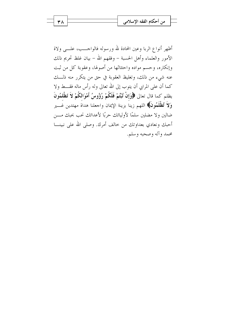أظهر أنواع الربا وعين المحادة لله ورسوله فالواحـــب، علـــي ولاة الأمور والعلماء وأهل الحسبة – وفقهم الله – بيان غلظ تحريم ذلك وإنكاره، وحسم مواده واحتثاثها من أصولها، وعقوبة كل من ثبت عنه شيءِ من ذلك، وتغليظ العقوبة في حق من يتكرر منه ذلـــك كما أن على المرابي أن يتوب إلى الله تعالى وله رأس ماله فقـــط ولا يظلم كما قال تعالى ﴿وَإِنْ تُبْتُمْ فَلَكُمْ رُؤُوسُ أَمْوَالكُمْ لاَ تَظْلمُونَ وَلاَ تُظْلَمُونَ﴾ اللهم زينا بزينة الإيمان واحعلنا هداة مهتدين غـــير ضالين ولا مضلين سلمًا لأوليائك حربًا لأعدائك نحب بحبك مــــن أحبك ونعادي بعداوتك من حالف أمرك. وصلى الله على نبينـــا محمد وآله وصحبه وسلم.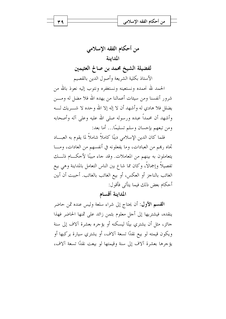من أحكام الفقه الإسلامي المداينة لفضيلة الشيخ محمد بن صالح العثيمين الأستاذ بكلية الشريعة وأصول الدين بالقصيم الحمد لله نحمده ونستعينه ونستغفره ونتوب إليه نعوذ بالله من شرور أنفسنا ومن سيئات أعمالنا من يهده الله فلا مضل له ومـــن يضلل فلا هادي له وأشهد أن لا إله إلا الله وحده لا شـــــريك لـــــه وأشهد أن محمداً عبده ورسوله صلى الله عليه وعلى آله وأصحابه ومن تبعهم بإحسان وسلم تسليمًا… أما بعد:

فلما كان الدين الإسلامي دينًا كاملاً شاملاً لما يقوم به العبـــاد تجاه ربهم من العبادات، وما يفعلونه في أنفسهم من العادات، ومـــا يتعاملون به بينهم من المعاملات. وقد حاء مبينًا لأحكـــام ذلــــك تفصيلاً وإجمالاً، وكان مما شاع بين الناس التعامل بالمداينة وهي بيع الغائب بالناجز أو العكس، أو بيع الغائب بالغائب. أحببت أن أبين أحكام بعض ذلك فيما يتأتى فأقول:

# المداينة أقسام

القسم الأول: أن يحتاج إلى شراء سلعة وليس عنده ثمن حاضر ينقده، فيشتريها إلى أجل معلوم بثمن زائد على ثمنها الحاضر فهذا جائزٍ، مثل أن يشتري بيتًا ليسكنه أو يؤجره بعشرة آلاف إلى سنة ويكون قيمته لو بيع نقدًا تسعة آلاف، أو يشتري سيارة پركبها أو يؤجرها بعشرة آلاف إلى سنة وقيمتها لو بيعت نقدًا تسعة آلاف،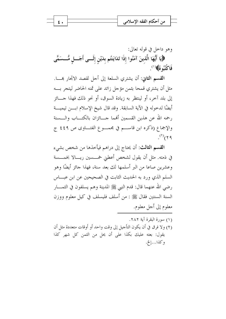

وهو داخل في قوله تعالى: ﴿يَا أَيُّهَا الَّذِينَ آمَنُوا إِذَا تَدَايَنتُم بِدَيْنِ إِلَـــى أَجَـــلِ مُّـــسَمًّى

فَاكْتُبُو هُ﴾ (`).

ا**لقسم الثاني**: أن يشتري السلعة إلى أحل لقصد الاتحار هســا. مثل أن يشتري قمحا بثمن مؤجل زائد على ثمنه الحاضر ليتجر بسه إِلَى بِلَّدِ آخِرٍ ، أَوِ لَيْنتِظِرِ بِهِ زِيادَةِ السَّوِقِ، أَوْ نَحْوٍ ذَلِكَ فَهِذَا جَسَائَزِ أيضًا لدخوله في الآية السابقة. وقد قال شيخ الإسلام ابـــن تيميـــة رحمه الله عن هذين القسمين أفمما جسائزان بالكتـــاب والـــسنة والإجماع (ذكره ابن قاسم في مجمــوع الفتـــاوى ص ٤٤٩ ج  $P(\vec{r})$ 

**القسم الثالث**: أن يحتاج إلى دراهم فيأخذها من شخص بشيء في ذمته. مثل أن يقول لشخص أعطني خمـــسين ريـــالا بخمـــسة وعشرين صاعا من البر أسلمها لك بعد سنة، فهذا جائز أيضًا وهو السلم الذي ورد به الحديث الثابت في الصحيحين عن ابن عبـــاس رضي الله عنهما قال: قدم النبي ﷺ المدينة وهم يسلفون في الثمــــار السنة السنتين فقال ﷺ : من أسلف فليسلف في كيل معلوم ووزن معلوم إلى أجل معلوم.

- (١) سورة البقرة آية ٢٨٢.
- (٢) ولا فرق في أن يكون التأجيل إلى وقت واحد أو أوقات متعددة مثل أن يقول: بعته عليك بكذا على أن يحل من الثمن كل شهر كذا و كذا. . . إلخ.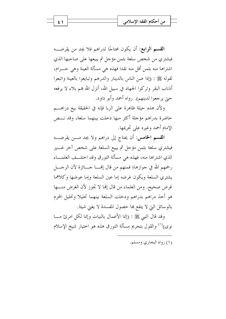**القسم الرابع:** أن يكون محتاجًا لدراهم فلا يجد من يقرضـــه فيشتري من شخص سلعة بثمن مؤحل ثم يبيعها على صاحبها الذي اشتراها منه بثمن أقل منه نقدا فهذه هي مسألة العينة وهي حـــرام، لقوله ﷺ : (إذا ضن الناس بالدينار والدرهم وتبايعوا بالعينة واتبعوا أذناب البقر وتركوا الجهاد في سبيل الله، أنزل الله بمم بلاء لا يرفعه حتى يرجعوا لدينهم). رواه أحمد وأبو داود.

ولأن هذه حيلة ظاهرة على الربا فإنه في الحقيقة بيع دراهـــم حاضرة بدراهم مؤجلة أكثر منها دحلت بينهما سلعة، وقد نــص الإمام أحمد وغيره على تحريمها.

القسم الخامس: أن يحتاج إلى دراهم ولا يجد مـــن يقرضــــه فيشتري سلعة بثمن مؤجل ثم يبيع السلعة على شخص آحر غسير الذي اشتراها منه، فهذه هي مسألة التورق وقد احتلــف العلمـــاء رحمهم الله في جوازها؛ فمنهم من قال إلهــــا حــــائزة لأن الرجـــــل يشترى السلعة ويكون غرضه إما عين السلعة وإما عوضها وكلاهما غرض صحيح. ومن العلماء من قال إلها لا تجوز لأن الغرض منسها هو أحذ دراهم بدراهم ودخلت السلعة بينهما تحليلا وتحليل المحرم بالو سائل التي لا يتفع ها حصول المفسدة لا يغين شيئا.

وقد قال النبي ﷺ : (إنما الأعمال بالنيات وإنما لكل امرئ مسا نوى)<sup>(١)</sup> والقول بتحريم مسألة التورق هذه هو اختيار شيخ الإسلام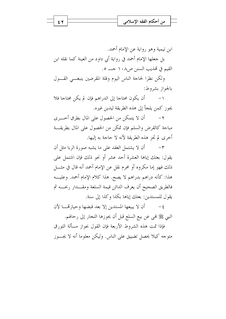

ابن تيمية وهو , واية عن الإمام أحمد.

بل حعلها الإمام أحمد في رواية أبي داود من العينة كما نقله ابن القيم في تمذيب السنن ص١٠٨ جــــ ٥.

ولكن نظرا لحاحة الناس اليوم وقلة المقرضين ينبغـــى القـــول بالجواز بشروط:

أن يكون محتاجا إلى الدراهم فإن لم يكن محتاجا فلا  $-1$ يجوز كمن يلجأ إلى هذه الطريقة ليدين غيره.

أن لا يتمكن من الحصول على المال بطرق أخـــرى  $-\tau$ مباحة كالقرض والسلم فإن تمكن من الحصول على المال بطريقـــة أخرى لم تحز هذه الطريقة لأنه لا حاجة به إليها.

أن لا يشتمل العقد على ما يشبه صورة الربا مثل أن  $-\tau$ يقول: بعتك إياها العشرة أحد عشر أو نحو ذلك فإن اشتمل على هذا: كأنه دراهم بدراهم لا يصح. هذا كلام الإمام أحمد. وعليـــه فالطريق الصحيح أن يعرف الدائن قيمة السلعة ومقـــدار ربحــــه ثم يقول للمستدين: بعتك إياها بكذا وكذا إلى سنة.

أن لا يبيعها المستدين إلا بعد قبضها وحيازتمـــا لأن  $-\xi$ النبي ﷺ فمي عن بيع السلع قبل أن يحوزها التجار إلى رحالهم.

فإذا تمت هذه الشروط الأربعة فإن القول بجواز مسألة التورق متوجه كيلًا يحصل تضييق على الناس. وليكن معلوما أنه لا يجـــوز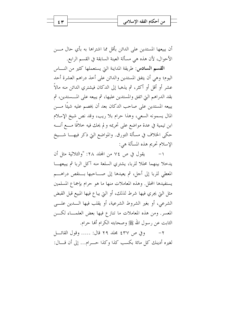من أحكام الفقه الإسلامي  $f$   $\tau$ 

أن يبيعها المستدين على الدائن بأقل مما اشتراها به بأي حال مــــن الأحوال، لأن هذه هي مسألة العينة السابقة في القسم الرابع.

**القسم السادس**: طريقة المداينة التي يستعملها كثير من النساس اليوم؛ وهي أن يتفق المستدين والدائن على أخذ دراهم العشرة أحد عشر أو أقل أو أكثر، ثم يذهبا إلى الدكان فيشتري الدائن منه مالاً بقد الدراهم التي اتفق والمستدين عليها، ثم يبيعه على المسستدين، ثم يبيعه المستدين على صاحب الدكان بعد أن يخصم عليه شيئًا مــــن المال يسمونه السعي، وهذا حرام بلا ريب، وقد نص شيخ الإسلام ابن تيمية في عدة مواضع على تحريمه و لم يحك فيه خلافًا مــــع أنــــه حكي الخلاف في مسألة التورق. والمواضع التي ذكر فيهــــا شــــيخ الإسلام تحريم هذه المسألة هي:

يقول في ص ٧٤ من المجلد ٢٨: "والثلاثية مثل أن  $-1$ يدخلا بينهما محللا للربا، يشتري السلعة منه آكل الربا ثم يبيعهـــا المعطي للربا إلى أحل، ثم يعيدها إلى صــــاحبها بـــنقص دراهــــم يستفيدها المحلل. وهذه المعاملات منها ما هو حرام بإجماع المسلمين مثل التي يجري فيها شرط لذلك، أو التي يباع فيها المبيع قبل القبض الشرعي، أو بغير الشروط الشرعية، أو يقلب فيها الــــدين علــــي المعسر. ومن هذه المعاملات ما تنازع فيها بعض العلمـــاء لكـــن الثابت عن رسول الله ﷺ وصحابته الكرام ألها حرام.

٢- وفي ص ٤٣٧ مجلد ٢٩ قال: ..... وقول القائــــل لغيره أدينك كل مائة يكسب كذا وكذا حـــرام... إلى أن قـــال: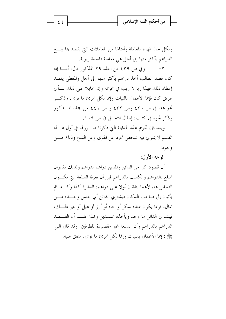|  | من أحكام الفقه الإسلامي |  |
|--|-------------------------|--|
|  |                         |  |
|  |                         |  |

وبكل حال فهذه المعاملة وأمثالها من المعاملات التي يقصد بما بيــــع الدراهم بأكثر منها إلى أحل هي معاملة فاسدة ربوية.

وفي ص ٤٣٩ من المجلد ٢٩ المذكور قال: أمسا إذا  $-\tau$ كان قصد الطالب أخذ دراهم بأكثر منها إلى أجل والمعطى يقصد إعطاء ذلك فهذا ربا لا ريب في تحريمه وإن تحايلا على ذلك بسأي طريق كان فإنما الأعمال بالنيات وإنما لكل امرئ ما نوى. وذكـــر نحو هذا في ص ٤٣٠ وص ٤٣٣ و ص ٤٤١ من المحلد المسذكور وذكر نحوه في كتاب: إبطال التحليل في ص ١٠٩.

وبعد فإن تحريم هذه المداينة التي ذكرنا صــورتما في أول هـــذا القسم لا يمتري فيه شخص تجرد عن الهوى وعن الشح وذلك مـــن و جو ه:

الوجه الأول:

أن قصود كل من الدائن والمدين دراهم بدراهم ولذلك يقدران المبلغ بالدراهم والكسب بالدراهم قبل أن يعرفا السلعة التي يكسون التحليل ها، لأفمما يتفقان أولا على دراهم: العشرة كذا وكـــذا ثم يأتيان إلى صاحب الدكان فيشترى الدائن أي جنس وجـــده مــــن المال، فربما يكون عنده سكر أو حام أو أرز أو هيل أو غير ذلـــك، فيشتري الدائن ما وجد ويأحذه المستدين وهذا علم أن القــصد الدراهم بالدراهم وأن السلعة غير مقصودة للطرفين. وقد قال النبي ﷺ : إنما الأعمال بالنيات وإنما لكل امرئ ما نوى. متفق عليه.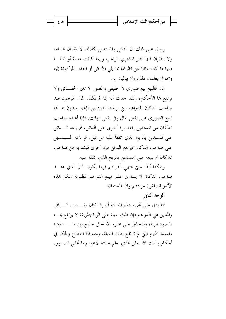ويدل على ذلك أن الدائن والمستدين كلاهما لا يقلبان السلعة ولا ينظران فيها نظر المشتري الراغب وربما كانت معيبة أو تالفا منها ما كان غائبا عن نظرهما مما يلي الأرض أو الجدار المركونة إليه وهما لا يعلمان ذلك ولا يباليان به.

إذن فالبيع بيع صوري لا حقيقى والصور لا تغير الحقائق ولا ترتفع بها الأحكام، ولقد حدث أنه إذا لم يكف المال الموجود عند صاحب الدكان للدراهم التي يريدها المستدين فإنهم يعيدون هـــذا البيع الصوري على نفس المال وفي نفس الوقت، فإذا أحذه صاحب الدكان من المستدين باعه مرة أخرى على الدائن، ثم باعه الـــدائن على المستدين بالربح الذي اتفقا عليه من قبل، ثم باعه المـــستدين على صاحب الدكان فيرجع الدائن مرة أخرى فيشتريه من صاحب الدكان ثم يبيعه على المستدين بالربح الذي اتفقا عليه.

وهكذا أبدًا حتى تنتهي الدراهم فربما يكون المال الذي عنـــد صاحب الدكان لا يساوي عشر مبلغ الدراهم المطلوبة ولكن هذه الألعوبة يبلغون مرادهم والله المستعان.

الوجه الثاني:

مما يدل على تحريم هذه المداينة أنه إذا كان مقــــصود الـــــدائن والمدين هي الدراهم فإن ذلك حيلة على الربا بطريقة لا يرتفع هسا مقصود الربا، والتحايل على محارم الله تعالى جامع بين مفـــسدتين؛ مفسدة المحرم التي لم ترتفع بتلك الحيلة، ومفسدة الخداع والمكر في أحكام وآيات الله تعالى الذي يعلم خائنة الأعين وما تخفي الصدور.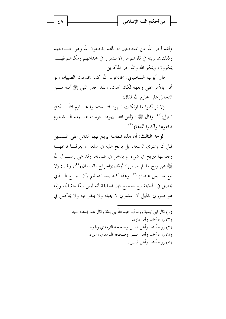ولقد أحبر الله عن المخادعين له بأفمم يخادعون الله وهو حــــادعهم وذلك بما زينه في قلوهم من الاستمرار في حداعهم ومكرهم فهـــم يمكرون، ويمكر الله والله حير الماكرين.

قال أيوب السختياني: يخادعون الله كما يخدعون الصبيان ولو أتوا بالأمر على وجهه لكان أهون. ولقد حذر النبي ﷺ أمته مـــن التحايل على محارم الله فقال:

(لا ترتكبوا ما ارتكبت اليهود فتـــستحلوا محـــارم الله بـــأدبي الحيل)''. وقال ﷺ : (لعن الله اليهود، حرمت علـــيهم الـــشحوم فياعوها وأكلوا أثماها) <sup>(٢)</sup>.

**الوجه الثالث**: أن هذه المعاملة يربح فيها الدائن على المستدين قبل أن يشتري السلعة، بل يربح عليه في سلعة لم يعرفــا نوعهـــا وجنسها فيربح في شيء لم يدحل في ضمانه، وقد نُمي رســول الله ﷺ عن ربح ما لم يضمن (٣)وقال:(الخراج بالضمان) <sup>(٤)</sup>، وقال: (لا تبع ما ليس عندك) <sup>(٥)</sup>. وهذا كله بعد التسليم بأن البيـــع الــــذي يحصل في المداينة بيع صحيح فإن الحقيقة أنه ليس بيعًا حقيقيًا، وإنما هو صوري بدليل أن المشتري لا يقبله ولا ينظر فيه ولا يماكس في

> (١) قال ابن تيمية رواه أبو عبد الله بن بطة وقال هذا إسناد جيد. (٢) , واه أحمد وأبو داو د. (٣) رواه أحمد وأهل السنن وصححه الترمذي وغيره. (٤) رواه أحمد وأهل السنن وصححه الترمذي وغيره. (٥) رواه أحمد وأهل السنن.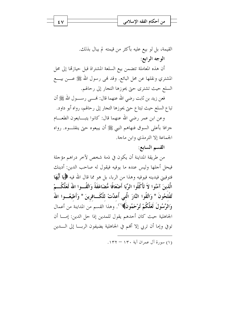

القيمة، بل لو بيع عليه بأكثر من قيمته لم يبال بذلك. الوجه الرابع:

أن هذه المعاملة تتضمن بيع السلعة المشتراة قبل حيازتها إلى محل المشتري ونقلها عن محل البائع. وقد نمي رسول الله ﷺ عــــن بيــــع السلع حيث تشتري حتى يحوزها التجار إلى رحالهم.

فعن زيد بن ثابت رضي الله عنهما قال: نُهـــي رســــول الله ﷺ أن تباع السلع حيث تبتاع حتى يحوزها التجار إلى رحالهم، رواه أبو داود. وعن ابن عمر رضي الله عنهما قال: كانوا يتبـــايعون الطعـــام

جزافا بأعلى السوق فنهاهم النبي ﷺ أن يبيعوه حتى ينقلـــوه. رواه الجماعة إلا الترمذي وابن ماجة.

# القسم السابع:

من طريقة المداينة أن يكون في ذمة شخص لآخر دراهم مؤجلة فيحل أجلها وليس عنده ما يوفيه فيقول له صاحب الدين: أدينك فتوفيين فيدينه فيوفيه وهذا من الربا، بل هو مما قال الله فيه ﴿يَا أَيُّهَا الَّذينَ آمَنُوا لاَ تَأْكُلُوا الرِّبَا أَضْعَافًا مُّضَاعَفَةً وَاتَّقُــوا اللَّهَ لَعَلَّكُـــمْ تُفْلحُونَ \* وَاتَّقُوا النَّارَ الَّتِي أُعدِّتْ للْكَــافرينَ \* وَأَطيعُـــوا اللهَ وَالرَّسُولَ لَعَلَّكُمْ تُوْحَمُونَ﴾(`'). وهذا القسم من المداينة من أعمال الجاهلية حيث كان أحدهم يقول للمدين إذا حل الدين: إمـــا أن توفي وإما أن تربي إلا أُلهم في الجاهلية يضيفون الربـــا إلى الــــدين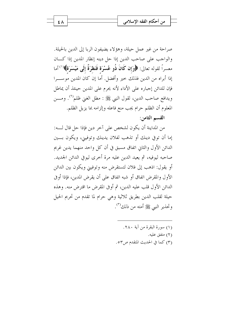صراحة من غير عمل حيلة، وهؤلاء يضيفون الربا إلى الدين بالحيلة. والواحب على صاحب الدين إذا حل دينه إنظار المدين إذا كسان معسراً لقوله تعالى: ﴿وَإِن كَانَ ذُو عُسْرَة فَنَظِرَةٌ إِلَى مَيْسَرَةٌ﴾'`` أما إذا أبراه من الدين فذلك حير وأفضل. أما إن كان المدين موســـرا فإن للدائن إجباره على الأداء لأنه يحرم على المدين حينئذ أن يماطل ويدافع صاحب الدين، لقول النبي ﷺ : مطل الغبي ظلم'''. ومـــن المعلوم أن الظلم حرام يجب منع فاعله وإلزامه بما يزيل الظلم. القسم الثامن:

من المداينة أن يكون لشخص على آخر دين فإذا حل قال لـــه: إما أن توفي دينك أو تذهب لفلان يدينك وتوفيني، ويكون بسين الدائن الأول والثاني اتفاق مسبق في أن كل واحد منهما يدين غريم صاحبه ليوفيه، ثم يعيد الدين عليه مرة أخرى ليوفي الدائن الجديد. أو يقول: اذهب إلى فلان لتستقرض منه وتوفيين ويكون بين الدائن الأول والمقرض اتفاق أو شبه اتفاق على أن يقرض المدين، فإذا أو في الدائن الأول قلب عليه الدين، ثم أوفي المقرض ما اقترض منه. وهذه حيلة لقلب الدين بطريق ثلاثية وهي حرام لما تقدم من تحريم الحيل وتحذير النبي ﷺ أمته من ذلك (٣).

> (١) سورة البقرة من آية ٢٨٠. (٢) متفق عليه. (٣) كما في الحديث المتقدم ص٣٥.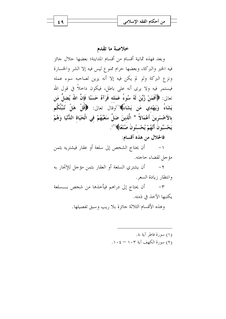خلاصة ما تقدم

وبعد فهذه ثمانية أقسام من أقسام المداينة؛ بعضها حلال جائز فيه الخير والبركة، وبعضها حرام ممنوع ليس فيه إلا الشر والخسارة ونزع البركة ولو لم يكن فيه إلا أنه يزين لصاحبه سوء عمله فيستمر فيه ولا يرى أنه على باطل، فيكون داخلاً في قول الله تعالى: ﴿أَفَمَنْ زُيِّنَ لَهُ سُوءُ عَمَله فَرَآهُ حَسَنًا فَإِنَّ اللَّهَ يُضلُّ مَن يَشَاءُ وَيَهْدي مَن يَشَاءُ﴾ (''وقال تعالى: ﴿قُلْ هَلْ نُنَبِّئُكُم بالأَخْسَرِينَ أَعْمَالاً \* الَّذينَ ضَلَّ سَعْيُهُمْ في الْحَيَاة الدُّنْيَا وَهُمْ يَحْسَبُونَ أَنَّهُمْ يُحْسنُونَ صُنْعًا﴾(``.

فالحلال من هذه أقسام:

أن يحتاج الشخص إلى سلعة أو عقار فيشتريه بثمن  $-1$ مؤجل لقضاء حاجته.

أن يشتري السلعة أو العقار بثمن مؤجل للإتحار به  $-\tau$ وانتظار زيادة السعر .

أن يحتاج إلى دراهم فيأخذها من شخص بـــسلعة  $-\tau$ يكتبها الآخذ في ذمته.

وهذه الأقسام الثلاثة جائزة بلا ريب وسبق تفصيلها.

(١) سورة فاطر آية ٨. (٢) سورة الكهف آية ١٠٣ - ١٠٤.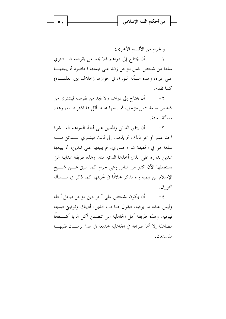

والحرام من الأقسام الأخرى: أن يحتاج إلى دراهم فلا يجد من يقرضه فيــــشتري  $-1$ سلعة من شخص بثمن مؤجل زائد على قيمتها الحاضرة ثم يبيعهـــا علي غيره، وهذه مسألة التورق في جوازها (حلاف بين العلمـــاء) كما تقدم.

أن يحتاج إلى دراهم ولا يجد من يقرضه فيشتري من  $-\tau$ شخص سلعة بثمن مؤحل، ثم يبيعها عليه بأقل مما اشتراها به، وهذه مسألة العىنة.

أن يتفق الدائن والمدين على أحذ الدراهم العـــشرة  $-\mathbf{r}$ أحد عشر أو نحو ذلك، ثم يذهب إلى ثالث فيشتري الــــدائن منـــــه سلعة هو في الحقيقة شراء صوري، ثم يبيعها على المدين، ثم يبيعها المدين بدوره على الذي أحذها الدائن منه. وهذه طريقة المداينة البيّ يستعملها الآن كثير من الناس وهي حرام كما سبق عـــن شـــيخ الإسلام ابن تيمية ولم يذكر حلافًا في تحريمها كما ذكر في مــــسألة التورق.

أن يكون لشخص على آخر دين مؤجل فيحل أجله  $-\xi$ وليس عنده ما يوفيه، فيقول صاحب الدين: أدينك وتوفيني فيدينه فيوفيه. وهذه طريقة أهل الجاهلية التي تتضمن أكل الربا أضـــعافًا مضاعفة إلا أَهْا صريحة في الجاهلية خديعة في هذا الزمــــان ففيهــــا مفسدتان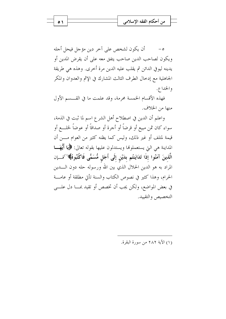

أن يكون لشخص على آخر دين مؤجل فيحل أجله  $-\circ$ ويكون لصاحب الدين صاحب يتفق معه على أن يقرض المدين أو يدينه ليوفي الدائن ثم يقلب عليه الدين مرة أخرى. وهذه هي طريقة الجاهلية مع إدخال الطرف الثالث المشارك في الإثم والعدوان والمكر والخداع.

فهذه الأقسام الخمسة محرمة، وقد علمت ما في القـــسم الأول منها من الخلاف.

واعلم أن الدين في اصطلاح أهل الشرع اسم لما ثبت في الذمة، سواء كان ثمن مبيع أو قرضاً أو أجرة أو صداقاً أو عوضاً لخلــــع أو قيمة لمتلف أو غير ذلك، وليس كما يظنه كثير من العوام مــــن أن المداينة هي التي يستعملوها ويستدلون عليها بقوله تعالى: ﴿يَا أَيُّهَـــا الَّذِينَ آمَنُوا إِذَا تَدَايَنتُم بِدَيْنِ إِلَى أَجَلٍ مُّسَمًّى فَاكْتُبُوهُ﴾ (''فسان المراد به هو الدين الحلال الذي بين الله ورسوله حله دون الــــدين الحرام، وهذا كثيرٍ في نصوص الكتاب والسنة تأتي مطلقة أو عامـــة في بعض المواضع، ولكن يجب أن تخصص أو تقيد بمـــا دل علــــى التخصيص والتقييد.

(١) الآية ٢٨٢ من سورة البقرة.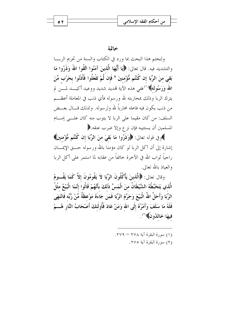|  | ِ من احكام الفقة الإسلامي |  |
|--|---------------------------|--|
|  |                           |  |

خاتمة

ولنختم هذا البحث بما ورد في الكتاب والسنة من تحريم الربـــا والتشديد فيه. قال تعالى: ﴿إِيَّا أَيُّهَا الَّذِينَ آمَنُوا اتَّقُوا اللَّهَ وَذَرُوا مَا بَقىَ منَ الرِّبَا إن كُنْتُم مُّؤْمنينَ \* فَإِن لَّمْ تَفْعَلُوا فَأْذَنُوا بحَرْبٍ مِّنَ الله وَرَسُوله، الله عني هذه الآية تهديد شديد ووعيد أكيـــد لمـــن لم يترك الربا وذلك بمحاربته لله ورسوله فأى ذنب في المعاملة أعظـــم من ذنب يكون فيه فاعله محارباً لله ولرسوله. ولذلك قـــال بعـــض السلف: من كان مقيما على الربا لا يتوب منه كان علــى إمـــام المسلمين أن يستتيبه فإن نزع وإلا ضرب عنقه.﴿

﴾وفي قوله تعالى: ﴿وَذَرُوا مَا بَقِيَ منَ الرَّبَا إن كُنْتُم مُّؤْمنينَ﴾ إشارة إلى أن آكل الربا لو كان مؤمنا بالله ورسوله حـــق الإيمــــان راجياً ثواب الله في الآخرة خائفاً من عقابه لما استمر على أكل الربا والعباذ بالله تعالى.

وقال تعالى: ﴿الَّذِينَ يَأْكُلُونَ الرِّبَا لاَ يَقُومُونَ إِلاَّ كَمَا يَقُــومُ الَّذي يَتَخَبَّطُهُ الشَّيْطَانُ منَ الْمَسِّ ذَلكَ بأَنَّهُمْ قَالُوا إِنَّمَا الْبَيْعُ مثْلُ الرِّبَا وَأَحَلَّ اللهُ الْبَيْعَ وَحَرَّمَ الرِّبَا فَمَن جَاءَهُ مَوْعظَةٌ مِّنْ رَّبِّه فَانْتَهَى فَلَهُ مَا سَلَفَ وَأَمْرُهُ إِلَى الله وَمَنْ عَادَ فَأُولَئكَ أَصْحَابُ النَّارِ هُـــمْ فيهَا خَالدُونَ﴾(``.

- (١) سورة البقرة آية ٢٧٨ ٢٧٩.
	- (٢) سورة البقرة آبة ٢٧٥.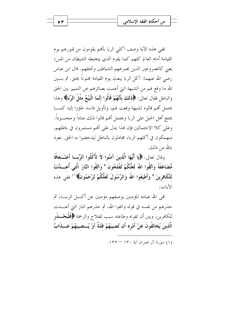ففي هذه الآية وصف آكلي الربا بأفمم يقومون من قبورهم يوم القيامة أمام العالم كلهم كما يقوم الذي يتخبطه الشيطان من المس؛ يعني كالمصروعين الذين تصرعهم الشياطين وتخنقهم. قال ابن عباس رضي الله عنهما: آكل الربا يبعث يوم القيامة مجنوناً يخنق. ثم بــــين الله ما وقع لهم من الشبهة التي أعمت بصائرهم عن التمييز بين الحق والباطل فقال تعالى: ﴿ذَلِكَ بِأَنَّهُمْ قَالُوا إِنَّمَا الْبَيْعُ مثْلُ الرِّبَا﴾ وهذا يحتمل أنهم قالوه لشبهة وقعت لهم، وتأويل فاسد لجؤوا إليه كمسا يحتج أهل الحيل على الربا ويحتمل أفمم قالوا ذلك عناداً وجحـــوداً. وعلى كلا الاحتمالين فإن هذا يدل على ألهم مستمرون في باطلهم، منهمكون في أكلهم الربا، مجادلون بالباطل ليدحضوا به الحق. نعوذ بالله من ذلك.

وقال تعالى: ﴿ إِلَّا أَيُّهَا الَّذِينَ آمَنُوا لاَ تَأْكُلُوا الرِّبَــا أَصْـــعَافًا مُّضَاعَفَةً وَاتَّقُوا اللّهَ لَعَلَّكُمْ تُفْلحُونَ \* وَاتَّقُوا النَّارَ الَّتي أُعـــدِّتْ للْكَافِرِينَ \* وَأَطِيعُوا اللَّهَ وَالرَّسُولَ لَعَلَّكُمْ تُرْحَمُونَ﴾ ('' ففي هذه الآيات:

لهي الله عباده المؤمنين بوصفهم مؤمنين عن أكـــل الربــــا، ثم حذرهم من نفسه في قوله واتقوا الله، ثم حذرهم النار التي أعــــدت للكافرين، وبين أن تقواه وطاعته سبب للفلاح والرحمة ﴿فَلْيَحْـــذَر الَّذينَ يُخَالفُونَ عَنْ أَمْرِه أَن تُصيبَهُمْ فتْنَةٌ أَوْ يُــصيبَهُمْ عَـــذَابٌ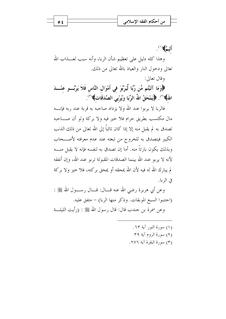

أليمً) ( '). وهذا كله دليل على تعظيم شأن الربا، وأنه سبب لعــــذاب الله تعالى ودخول النار والعياذ بالله تعالى من ذلك. وقال تعالى:

﴿وَمَا آتَيْتُم مِّن رِّبًا لِّيَرْبُوَ في أَمْوَال النَّاس فَلاَ يَرْبُـــو عنْــــدَ اللَّهُ ﴾ ```. ﴿يَمْحَقُ اللَّهُ الرِّبَا وَيُرْبِى الصَّدَقَاتِ﴾ ```.

فالربا لا يربوا عند الله ولا يزداد صاحبه به قربة عند ربه فإنــــه مال مكتسب بطريق حرام فلا حير فيه ولا بركة ولو أن صــــاحبه تصدق به لم يقبل منه إلا إذا كان تائباً إلى الله تعالى من ذلك الذنب الكبير فيتصدق به للخروج من تبعته عند عدم معرفته لأصـــحاب وبذلك يكون بارئاً منه. أما إن تصدق به لنفسه فإنه لا يقبل منــــه لأنه لا يربو عند الله بينما الصدقات المقبولة تربو عند الله، وإن أنفقه لم يبارك الله له فيه لأن الله يمحقه أو يمحق بركته، فلا خير ولا بركة في الربا.

وعن أبي هريرة رضي الله عنه قــــال: قــــال رســــول الله ﷺ : (اجتنبوا السبع الموبقات. وذكر منها الربا) – متفق عليه. وعن سمرة بن جندب قال: قال , سول الله ﷺ : (رأيت الليلـــة

- (١) سورة النور آية ٦٣. (٢) سورة الروم آية ٣٩
- (٣) سورة البقرة آية ٢٧٦.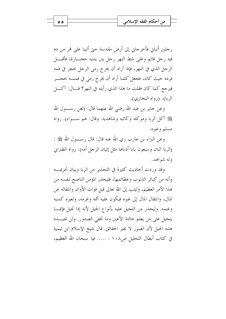ر حلين أتياني فأحرجاني إلى أرض مقدسة حيّ أتينا على لهر من دم فيه رحل قائم وعلى شط النهر رحل بين يديه ححـــارة، فأقبــــل الرجل الذي في النهر، فإذا أراد أن يخرج رمي الرجل بحجر في فمه فرده حيث كان، فجعل كلما أراد أن يخرج رمي في فمــــه بحجــــر فيرجع كما كان فقلت ما هذا الذي رأيته في النهر؟ قـــال: آكــــل الربا). (رواه البخاري).

وعن جابر بن عبد الله رضي الله عنهما قال: (لعن رســــول الله ﷺ آكل الربا وموكله وكاتبه وشاهديه. وقال: هم ســواء). رواه مسلم وغيره.

وعن البراء بن عازب ري الله عنه قال: قال , ســــول الله ﷺ : (الربا اثنان وسبعون بابا أدناها مثل إتيان الرجل أمه). رواه الطبراني وله شواهد.

وقد وردت أحاديث كثيرة في التحذير من الربا وبيان تحريمـــه وأنه من كبائر الذنوب وعظائمها، فليحذر المؤمن الناصح لنفسه من هذا الأمر العظيم، وليتب إلى الله تعالى قبل فوات الأوان وانتقاله عن المال، وانتقال المال إلى غيره فيكون عليه أثمه وغرمه، ولغيره كسبه وغنمه. وليحذر من التحيل عليه بأنواع الحيل لأنه إذا تحيل فإنمـــا يتحيل على من يعلم حائنة الأعين وما تخفي الصدور. ولن تفيـــده هذه الحيل لأن الصور لا تغير الحقائق. قال شيخ الإسلام ابن تيمية في كتاب أبطال التحليل ص١٠٨ : ..... فيا سبحان الله العظيم،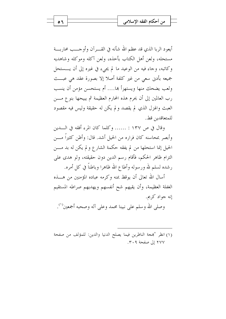أيعود الربا الذي قد عظم الله شأنه في القــــرآن وأوجــــب محاربــــة مستحله، ولعن أهل الكتاب بأخذه، ولعن آكله وموكله وشاهديه وكاتبه، وجاء فيه من الوعيد ما لم يجيء في غيره إلى أن يـــستحل جميعه بأدن سعى من غير كلفة أصلا إلا بصورة عقد هي عبـــث ولعب يضحك منها ويستهزأ ها.... أم يستحسن مؤمن أن ينسب رب العالمين إلى أن يحرم هذه المحارم العظيمة ثم يبيحها بنوع مــــن العبث والهزل الذي لم يقصد ولم يكن له حقيقة وليس فيه مقصود للمتعاقدين قط.

وقال في ص ١٣٧ : ...... وكلما كان المرء أفقه في الـــدين وأبصر بمحاسنه كان فراره من الحيل أشد. قال: وأظن كثيراً مــــن الحيل إنما استحلها من لم يفقه حكمة الشارع و لم يكن له بد مـــن التزام ظاهر الحكم، فأقام رسم الدين دون حقيقته، ولو هدى على رشده لسلم لله ورسوله وأطاع الله ظاهرا وباطناً في كل أمره.

أسال الله تعالى أن يوقظ بمنه وكرمه عباده المؤمنين من هــــذه الغفلة العظيمة، وأن يقيهم شح أنفسهم ويهديهم صراطه المستقيم إنه جواد كريم. وصلى الله وسلم على نبينا محمد وعلى آله وصحبه أجمعين''.

(١) انظر "بمجة الناظرين فيما يصلح الدنيا والدين: للمؤلف من صفحة ٢٧٧ إلى صفحة ٣٠٩.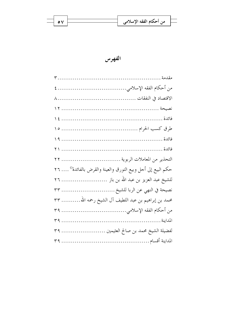|  | ِ من أحكام الفقه الإسلامي |  |
|--|---------------------------|--|
|  |                           |  |

الفهرس

| التحذير من المعاملات الربوية  ٢٢                                         |
|--------------------------------------------------------------------------|
| حكم البيع إلى أحل وبيع التورق والعينة والقرض بالفائدة <sup>0</sup> …. ٢٦ |
| للشيخ عبد العزيز بن عبد الله بن باز  ٢٦                                  |
| نصيحة في النهي عن الربا للشيخ  ٣٣                                        |
| محمد بن إبراهيم بن عبد اللطيف آل الشيخ رحمه الله ٣٣                      |
|                                                                          |
|                                                                          |
| لفضيلة الشيخ محمد بن صالح العثيمين  ٣٩                                   |
|                                                                          |